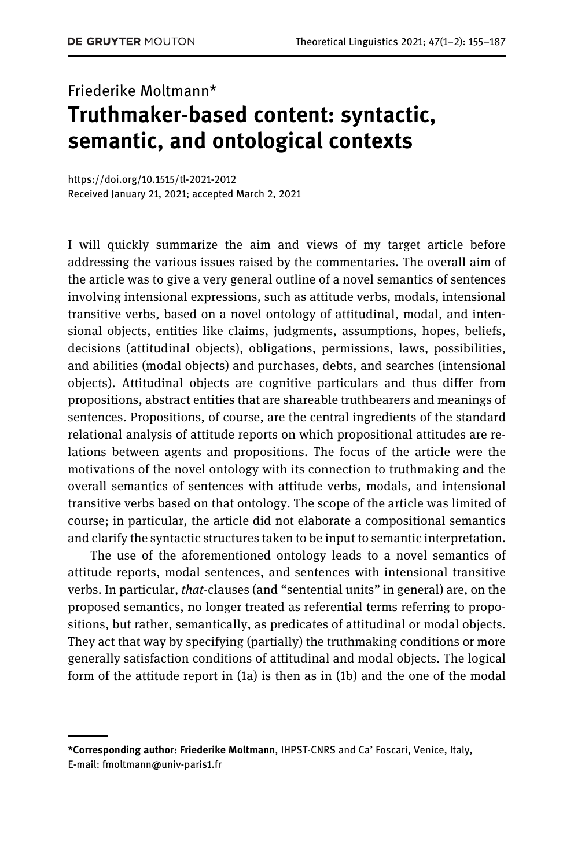# Friederike Moltmann\* Truthmaker-based content: syntactic, semantic, and ontological contexts

<https://doi.org/10.1515/tl-2021-2012> Received January 21, 2021; accepted March 2, 2021

I will quickly summarize the aim and views of my target article before addressing the various issues raised by the commentaries. The overall aim of the article was to give a very general outline of a novel semantics of sentences involving intensional expressions, such as attitude verbs, modals, intensional transitive verbs, based on a novel ontology of attitudinal, modal, and intensional objects, entities like claims, judgments, assumptions, hopes, beliefs, decisions (attitudinal objects), obligations, permissions, laws, possibilities, and abilities (modal objects) and purchases, debts, and searches (intensional objects). Attitudinal objects are cognitive particulars and thus differ from propositions, abstract entities that are shareable truthbearers and meanings of sentences. Propositions, of course, are the central ingredients of the standard relational analysis of attitude reports on which propositional attitudes are relations between agents and propositions. The focus of the article were the motivations of the novel ontology with its connection to truthmaking and the overall semantics of sentences with attitude verbs, modals, and intensional transitive verbs based on that ontology. The scope of the article was limited of course; in particular, the article did not elaborate a compositional semantics and clarify the syntactic structures taken to be input to semantic interpretation.

The use of the aforementioned ontology leads to a novel semantics of attitude reports, modal sentences, and sentences with intensional transitive verbs. In particular, that-clauses (and "sentential units" in general) are, on the proposed semantics, no longer treated as referential terms referring to propositions, but rather, semantically, as predicates of attitudinal or modal objects. They act that way by specifying (partially) the truthmaking conditions or more generally satisfaction conditions of attitudinal and modal objects. The logical form of the attitude report in (1a) is then as in (1b) and the one of the modal

<sup>\*</sup>Corresponding author: Friederike Moltmann, IHPST-CNRS and Ca' Foscari, Venice, Italy, E-mail: [fmoltmann@univ-paris1.fr](mailto:fmoltmann@univ-paris1.fr)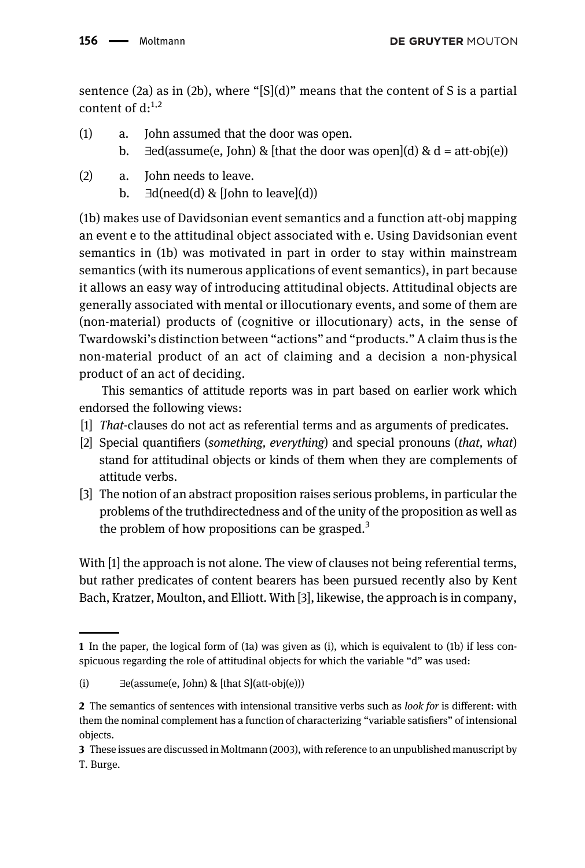sentence (2a) as in (2b), where "[S](d)" means that the content of S is a partial content of  $d^{1,2}$ 

- (1) a. John assumed that the door was open.
	- b.  $\exists$ ed(assume(e, John) & [that the door was open](d) & d = att-obj(e))
- (2) a. John needs to leave.
	- b.  $\exists d(need(d) \& [John to leave](d))$

(1b) makes use of Davidsonian event semantics and a function att-obj mapping an event e to the attitudinal object associated with e. Using Davidsonian event semantics in (1b) was motivated in part in order to stay within mainstream semantics (with its numerous applications of event semantics), in part because it allows an easy way of introducing attitudinal objects. Attitudinal objects are generally associated with mental or illocutionary events, and some of them are (non-material) products of (cognitive or illocutionary) acts, in the sense of Twardowski's distinction between "actions" and "products." A claim thus is the non-material product of an act of claiming and a decision a non-physical product of an act of deciding.

This semantics of attitude reports was in part based on earlier work which endorsed the following views:

- [1] That-clauses do not act as referential terms and as arguments of predicates.
- [2] Special quantifiers (something, everything) and special pronouns (that, what) stand for attitudinal objects or kinds of them when they are complements of attitude verbs.
- [3] The notion of an abstract proposition raises serious problems, in particular the problems of the truthdirectedness and of the unity of the proposition as well as the problem of how propositions can be grasped.<sup>3</sup>

With [1] the approach is not alone. The view of clauses not being referential terms, but rather predicates of content bearers has been pursued recently also by Kent Bach, Kratzer, Moulton, and Elliott. With [3], likewise, the approach is in company,

<sup>1</sup> In the paper, the logical form of (1a) was given as (i), which is equivalent to (1b) if less conspicuous regarding the role of attitudinal objects for which the variable "d" was used:

<sup>(</sup>i)  $\exists$  e(assume(e, John) & [that S](att-obj(e)))

<sup>2</sup> The semantics of sentences with intensional transitive verbs such as look for is different: with them the nominal complement has a function of characterizing "variable satisfiers" of intensional objects.

<sup>3</sup> These issues are discussed in [Moltmann \(2003\),](#page-31-0) with reference to an unpublished manuscript by T. Burge.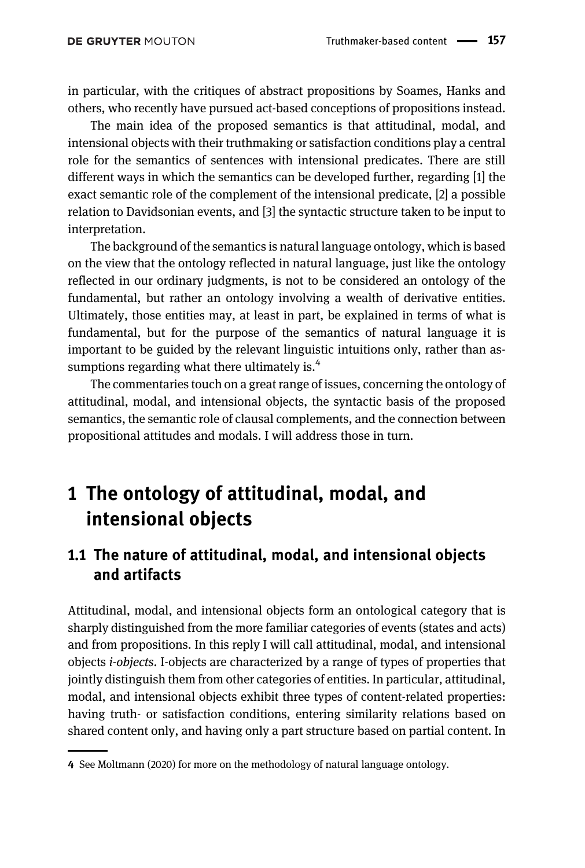in particular, with the critiques of abstract propositions by Soames, Hanks and others, who recently have pursued act-based conceptions of propositions instead.

The main idea of the proposed semantics is that attitudinal, modal, and intensional objects with their truthmaking or satisfaction conditions play a central role for the semantics of sentences with intensional predicates. There are still different ways in which the semantics can be developed further, regarding [1] the exact semantic role of the complement of the intensional predicate, [2] a possible relation to Davidsonian events, and [3] the syntactic structure taken to be input to interpretation.

The background of the semantics is natural language ontology, which is based on the view that the ontology reflected in natural language, just like the ontology reflected in our ordinary judgments, is not to be considered an ontology of the fundamental, but rather an ontology involving a wealth of derivative entities. Ultimately, those entities may, at least in part, be explained in terms of what is fundamental, but for the purpose of the semantics of natural language it is important to be guided by the relevant linguistic intuitions only, rather than assumptions regarding what there ultimately is. $4$ 

The commentaries touch on a great range of issues, concerning the ontology of attitudinal, modal, and intensional objects, the syntactic basis of the proposed semantics, the semantic role of clausal complements, and the connection between propositional attitudes and modals. I will address those in turn.

## 1 The ontology of attitudinal, modal, and intensional objects

### 1.1 The nature of attitudinal, modal, and intensional objects and artifacts

Attitudinal, modal, and intensional objects form an ontological category that is sharply distinguished from the more familiar categories of events (states and acts) and from propositions. In this reply I will call attitudinal, modal, and intensional objects i-objects. I-objects are characterized by a range of types of properties that jointly distinguish them from other categories of entities. In particular, attitudinal, modal, and intensional objects exhibit three types of content-related properties: having truth- or satisfaction conditions, entering similarity relations based on shared content only, and having only a part structure based on partial content. In

<sup>4</sup> See [Moltmann \(2020\)](#page-31-1) for more on the methodology of natural language ontology.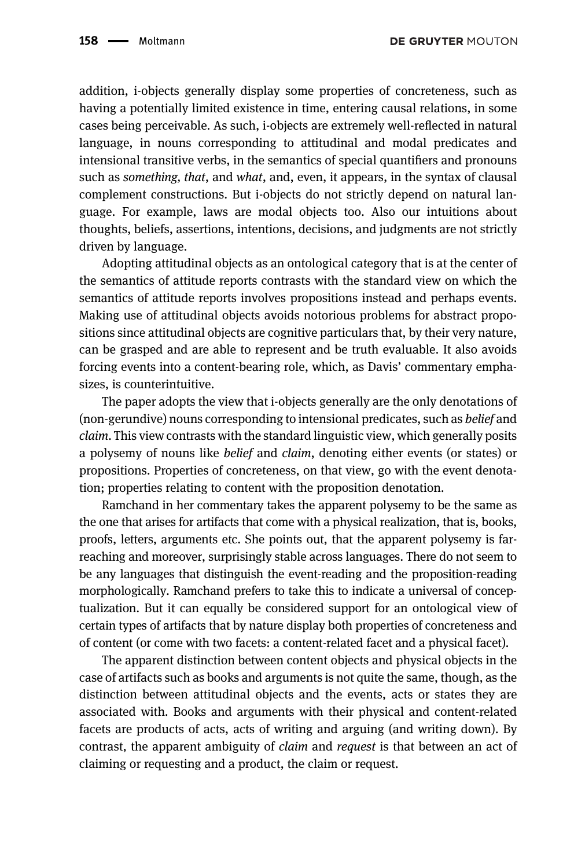addition, i-objects generally display some properties of concreteness, such as having a potentially limited existence in time, entering causal relations, in some cases being perceivable. As such, i-objects are extremely well-reflected in natural language, in nouns corresponding to attitudinal and modal predicates and intensional transitive verbs, in the semantics of special quantifiers and pronouns such as *something, that, and what, and, even, it appears, in the syntax of clausal* complement constructions. But i-objects do not strictly depend on natural language. For example, laws are modal objects too. Also our intuitions about thoughts, beliefs, assertions, intentions, decisions, and judgments are not strictly driven by language.

Adopting attitudinal objects as an ontological category that is at the center of the semantics of attitude reports contrasts with the standard view on which the semantics of attitude reports involves propositions instead and perhaps events. Making use of attitudinal objects avoids notorious problems for abstract propositions since attitudinal objects are cognitive particulars that, by their very nature, can be grasped and are able to represent and be truth evaluable. It also avoids forcing events into a content-bearing role, which, as Davis' commentary emphasizes, is counterintuitive.

The paper adopts the view that i-objects generally are the only denotations of (non-gerundive) nouns corresponding to intensional predicates, such as belief and claim. This view contrasts with the standard linguistic view, which generally posits a polysemy of nouns like belief and claim, denoting either events (or states) or propositions. Properties of concreteness, on that view, go with the event denotation; properties relating to content with the proposition denotation.

Ramchand in her commentary takes the apparent polysemy to be the same as the one that arises for artifacts that come with a physical realization, that is, books, proofs, letters, arguments etc. She points out, that the apparent polysemy is farreaching and moreover, surprisingly stable across languages. There do not seem to be any languages that distinguish the event-reading and the proposition-reading morphologically. Ramchand prefers to take this to indicate a universal of conceptualization. But it can equally be considered support for an ontological view of certain types of artifacts that by nature display both properties of concreteness and of content (or come with two facets: a content-related facet and a physical facet).

The apparent distinction between content objects and physical objects in the case of artifacts such as books and arguments is not quite the same, though, as the distinction between attitudinal objects and the events, acts or states they are associated with. Books and arguments with their physical and content-related facets are products of acts, acts of writing and arguing (and writing down). By contrast, the apparent ambiguity of *claim* and *request* is that between an act of claiming or requesting and a product, the claim or request.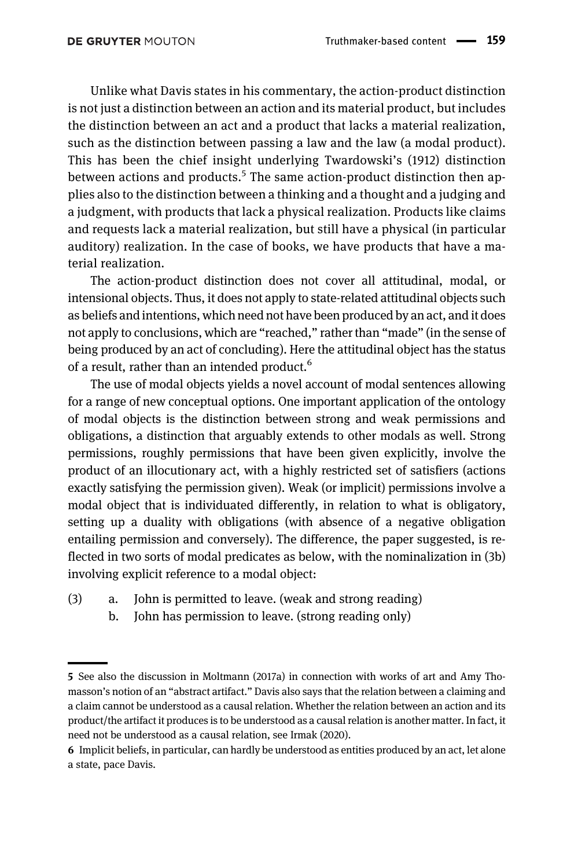Unlike what Davis states in his commentary, the action-product distinction is not just a distinction between an action and its material product, but includes the distinction between an act and a product that lacks a material realization, such as the distinction between passing a law and the law (a modal product). This has been the chief insight underlying [Twardowski](#page-32-0)'s (1912) distinction between actions and products.<sup>5</sup> The same action-product distinction then applies also to the distinction between a thinking and a thought and a judging and a judgment, with products that lack a physical realization. Products like claims and requests lack a material realization, but still have a physical (in particular auditory) realization. In the case of books, we have products that have a material realization.

The action-product distinction does not cover all attitudinal, modal, or intensional objects. Thus, it does not apply to state-related attitudinal objects such as beliefs and intentions, which need not have been produced by an act, and it does not apply to conclusions, which are "reached," rather than "made" (in the sense of being produced by an act of concluding). Here the attitudinal object has the status of a result, rather than an intended product.<sup>6</sup>

The use of modal objects yields a novel account of modal sentences allowing for a range of new conceptual options. One important application of the ontology of modal objects is the distinction between strong and weak permissions and obligations, a distinction that arguably extends to other modals as well. Strong permissions, roughly permissions that have been given explicitly, involve the product of an illocutionary act, with a highly restricted set of satisfiers (actions exactly satisfying the permission given). Weak (or implicit) permissions involve a modal object that is individuated differently, in relation to what is obligatory, setting up a duality with obligations (with absence of a negative obligation entailing permission and conversely). The difference, the paper suggested, is reflected in two sorts of modal predicates as below, with the nominalization in (3b) involving explicit reference to a modal object:

- (3) a. John is permitted to leave. (weak and strong reading)
	- b. John has permission to leave. (strong reading only)

<sup>5</sup> See also the discussion in [Moltmann \(2017a\)](#page-31-2) in connection with works of art and Amy Thomasson's notion of an "abstract artifact." Davis also says that the relation between a claiming and a claim cannot be understood as a causal relation. Whether the relation between an action and its product/the artifact it produces is to be understood as a causal relation is another matter. In fact, it need not be understood as a causal relation, see [Irmak \(2020\)](#page-31-3).

<sup>6</sup> Implicit beliefs, in particular, can hardly be understood as entities produced by an act, let alone a state, pace Davis.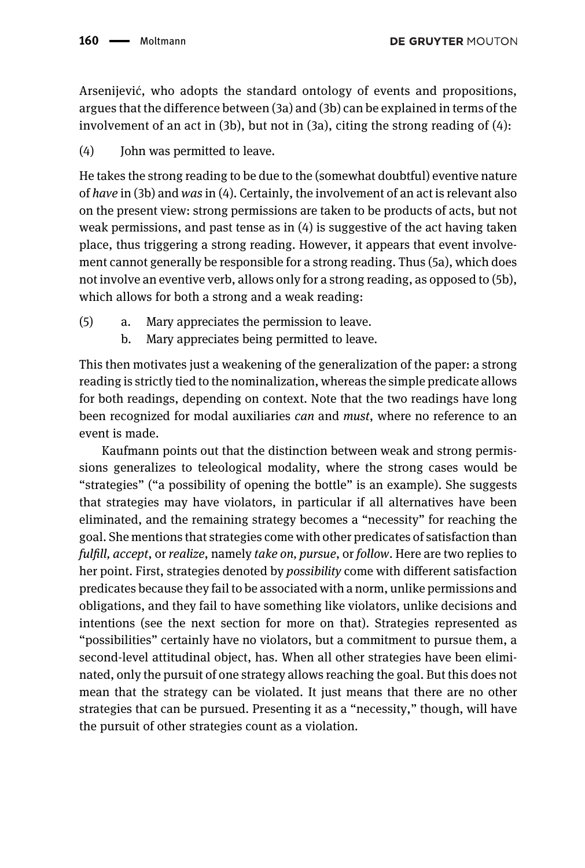Arsenijević, who adopts the standard ontology of events and propositions, argues that the difference between (3a) and (3b) can be explained in terms of the involvement of an act in  $(3b)$ , but not in  $(3a)$ , citing the strong reading of  $(4)$ :

(4) Iohn was permitted to leave.

He takes the strong reading to be due to the (somewhat doubtful) eventive nature of have in (3b) and was in (4). Certainly, the involvement of an act is relevant also on the present view: strong permissions are taken to be products of acts, but not weak permissions, and past tense as in  $(4)$  is suggestive of the act having taken place, thus triggering a strong reading. However, it appears that event involvement cannot generally be responsible for a strong reading. Thus (5a), which does not involve an eventive verb, allows only for a strong reading, as opposed to (5b), which allows for both a strong and a weak reading:

- (5) a. Mary appreciates the permission to leave.
	- b. Mary appreciates being permitted to leave.

This then motivates just a weakening of the generalization of the paper: a strong reading is strictly tied to the nominalization, whereas the simple predicate allows for both readings, depending on context. Note that the two readings have long been recognized for modal auxiliaries can and must, where no reference to an event is made.

Kaufmann points out that the distinction between weak and strong permissions generalizes to teleological modality, where the strong cases would be "strategies" ("a possibility of opening the bottle" is an example). She suggests that strategies may have violators, in particular if all alternatives have been eliminated, and the remaining strategy becomes a "necessity" for reaching the goal. She mentions that strategies come with other predicates of satisfaction than fulfill, accept, or realize, namely take on, pursue, or follow. Here are two replies to her point. First, strategies denoted by possibility come with different satisfaction predicates because they fail to be associated with a norm, unlike permissions and obligations, and they fail to have something like violators, unlike decisions and intentions (see the next section for more on that). Strategies represented as "possibilities" certainly have no violators, but a commitment to pursue them, a second-level attitudinal object, has. When all other strategies have been eliminated, only the pursuit of one strategy allows reaching the goal. But this does not mean that the strategy can be violated. It just means that there are no other strategies that can be pursued. Presenting it as a "necessity," though, will have the pursuit of other strategies count as a violation.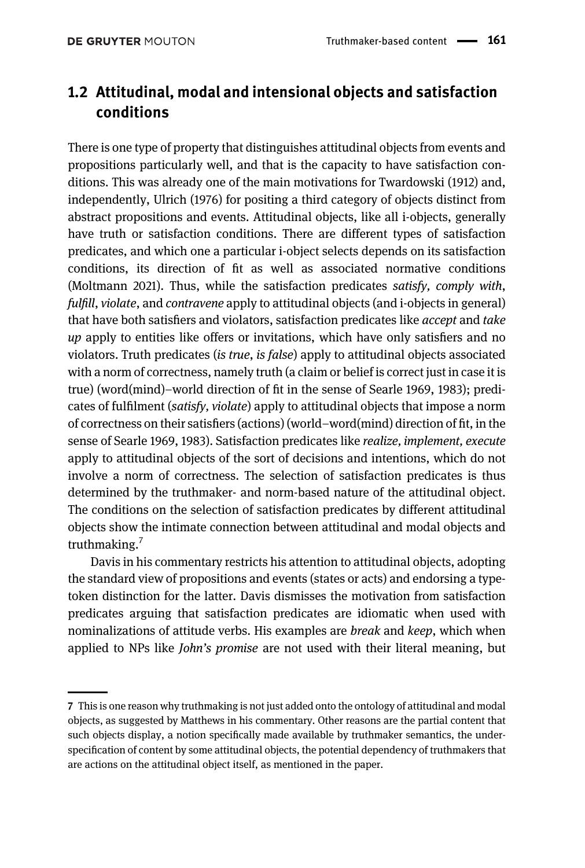## 1.2 Attitudinal, modal and intensional objects and satisfaction conditions

There is one type of property that distinguishes attitudinal objects from events and propositions particularly well, and that is the capacity to have satisfaction conditions. This was already one of the main motivations for [Twardowski \(1912\)](#page-32-0) and, independently, [Ulrich \(1976\)](#page-32-1) for positing a third category of objects distinct from abstract propositions and events. Attitudinal objects, like all i-objects, generally have truth or satisfaction conditions. There are different types of satisfaction predicates, and which one a particular i-object selects depends on its satisfaction conditions, its direction of fit as well as associated normative conditions [\(Moltmann 2021\)](#page-32-2). Thus, while the satisfaction predicates satisfy, comply with, fulfill, violate, and contravene apply to attitudinal objects (and i-objects in general) that have both satisfiers and violators, satisfaction predicates like accept and take up apply to entities like offers or invitations, which have only satisfiers and no violators. Truth predicates (is true, is false) apply to attitudinal objects associated with a norm of correctness, namely truth (a claim or belief is correct just in case it is true) (word(mind)–world direction of fit in the sense of [Searle 1969,](#page-32-3) [1983](#page-32-4)); predicates of fulfilment (satisfy, violate) apply to attitudinal objects that impose a norm of correctness on their satisfiers (actions) (world–word(mind) direction of fit, in the sense of [Searle 1969](#page-32-3), [1983](#page-32-4)). Satisfaction predicates like realize, implement, execute apply to attitudinal objects of the sort of decisions and intentions, which do not involve a norm of correctness. The selection of satisfaction predicates is thus determined by the truthmaker- and norm-based nature of the attitudinal object. The conditions on the selection of satisfaction predicates by different attitudinal objects show the intimate connection between attitudinal and modal objects and truthmaking. $<sup>7</sup>$ </sup>

Davis in his commentary restricts his attention to attitudinal objects, adopting the standard view of propositions and events (states or acts) and endorsing a typetoken distinction for the latter. Davis dismisses the motivation from satisfaction predicates arguing that satisfaction predicates are idiomatic when used with nominalizations of attitude verbs. His examples are *break* and *keep*, which when applied to NPs like John's promise are not used with their literal meaning, but

<sup>7</sup> This is one reason why truthmaking is not just added onto the ontology of attitudinal and modal objects, as suggested by Matthews in his commentary. Other reasons are the partial content that such objects display, a notion specifically made available by truthmaker semantics, the underspecification of content by some attitudinal objects, the potential dependency of truthmakers that are actions on the attitudinal object itself, as mentioned in the paper.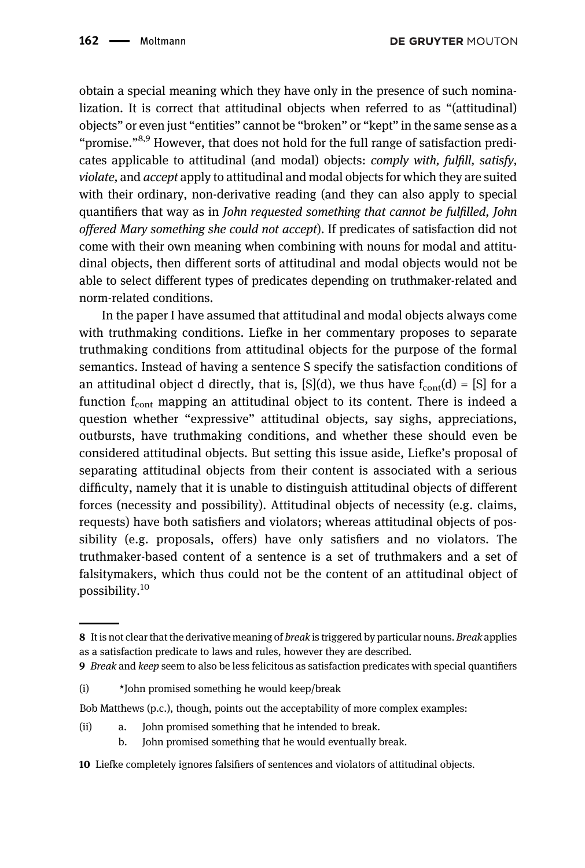obtain a special meaning which they have only in the presence of such nominalization. It is correct that attitudinal objects when referred to as "(attitudinal) objects" or even just "entities" cannot be "broken" or "kept" in the same sense as a "promise."8,9 However, that does not hold for the full range of satisfaction predicates applicable to attitudinal (and modal) objects: comply with, fulfill, satisfy, violate, and accept apply to attitudinal and modal objects for which they are suited with their ordinary, non-derivative reading (and they can also apply to special quantifiers that way as in John requested something that cannot be fulfilled, John offered Mary something she could not accept). If predicates of satisfaction did not come with their own meaning when combining with nouns for modal and attitudinal objects, then different sorts of attitudinal and modal objects would not be able to select different types of predicates depending on truthmaker-related and norm-related conditions.

In the paper I have assumed that attitudinal and modal objects always come with truthmaking conditions. Liefke in her commentary proposes to separate truthmaking conditions from attitudinal objects for the purpose of the formal semantics. Instead of having a sentence S specify the satisfaction conditions of an attitudinal object d directly, that is,  $[S](d)$ , we thus have  $f_{cont}(d) = [S]$  for a function  $f_{\text{cont}}$  mapping an attitudinal object to its content. There is indeed a question whether "expressive" attitudinal objects, say sighs, appreciations, outbursts, have truthmaking conditions, and whether these should even be considered attitudinal objects. But setting this issue aside, Liefke's proposal of separating attitudinal objects from their content is associated with a serious difficulty, namely that it is unable to distinguish attitudinal objects of different forces (necessity and possibility). Attitudinal objects of necessity (e.g. claims, requests) have both satisfiers and violators; whereas attitudinal objects of possibility (e.g. proposals, offers) have only satisfiers and no violators. The truthmaker-based content of a sentence is a set of truthmakers and a set of falsitymakers, which thus could not be the content of an attitudinal object of possibility.<sup>10</sup>

- (ii) a. John promised something that he intended to break.
	- b. John promised something that he would eventually break.
- 10 Liefke completely ignores falsifiers of sentences and violators of attitudinal objects.

<sup>8</sup> It is not clear that the derivative meaning of *break* is triggered by particular nouns. Break applies as a satisfaction predicate to laws and rules, however they are described.

<sup>9</sup> Break and keep seem to also be less felicitous as satisfaction predicates with special quantifiers

<sup>(</sup>i) \*John promised something he would keep/break

Bob Matthews (p.c.), though, points out the acceptability of more complex examples: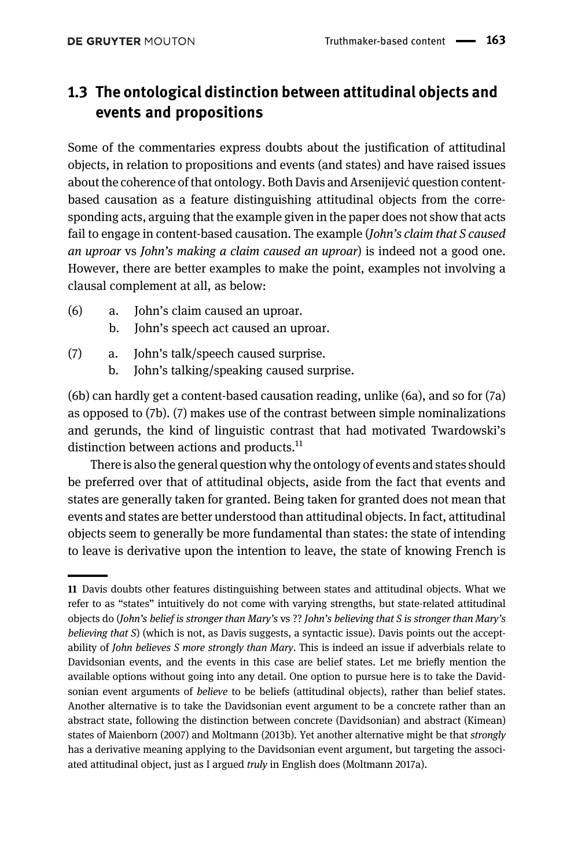## 1.3 The ontological distinction between attitudinal objects and events and propositions

Some of the commentaries express doubts about the justification of attitudinal objects, in relation to propositions and events (and states) and have raised issues about the coherence of that ontology. Both Davis and Arsenijević question contentbased causation as a feature distinguishing attitudinal objects from the corresponding acts, arguing that the example given in the paper does not show that acts fail to engage in content-based causation. The example (John's claim that S caused an uproar vs John's making a claim caused an uproar) is indeed not a good one. However, there are better examples to make the point, examples not involving a clausal complement at all, as below:

- (6) a. John's claim caused an uproar.
	- b. John's speech act caused an uproar.
- (7) a. John's talk/speech caused surprise.
	- b. John's talking/speaking caused surprise.

(6b) can hardly get a content-based causation reading, unlike (6a), and so for (7a) as opposed to (7b). (7) makes use of the contrast between simple nominalizations and gerunds, the kind of linguistic contrast that had motivated Twardowski's distinction between actions and products.<sup>11</sup>

There is also the general question why the ontology of events and states should be preferred over that of attitudinal objects, aside from the fact that events and states are generally taken for granted. Being taken for granted does not mean that events and states are better understood than attitudinal objects. In fact, attitudinal objects seem to generally be more fundamental than states: the state of intending to leave is derivative upon the intention to leave, the state of knowing French is

<sup>11</sup> Davis doubts other features distinguishing between states and attitudinal objects. What we refer to as "states" intuitively do not come with varying strengths, but state-related attitudinal objects do (John's belief is stronger than Mary's vs ?? John's believing that S is stronger than Mary's believing that  $S$ ) (which is not, as Davis suggests, a syntactic issue). Davis points out the acceptability of *John believes S more strongly than Mary*. This is indeed an issue if adverbials relate to Davidsonian events, and the events in this case are belief states. Let me briefly mention the available options without going into any detail. One option to pursue here is to take the Davidsonian event arguments of *believe* to be beliefs (attitudinal objects), rather than belief states. Another alternative is to take the Davidsonian event argument to be a concrete rather than an abstract state, following the distinction between concrete (Davidsonian) and abstract (Kimean) states of [Maienborn \(2007\)](#page-31-4) and [Moltmann \(2013b\).](#page-31-5) Yet another alternative might be that strongly has a derivative meaning applying to the Davidsonian event argument, but targeting the associated attitudinal object, just as I argued truly in English does [\(Moltmann 2017a](#page-31-2)).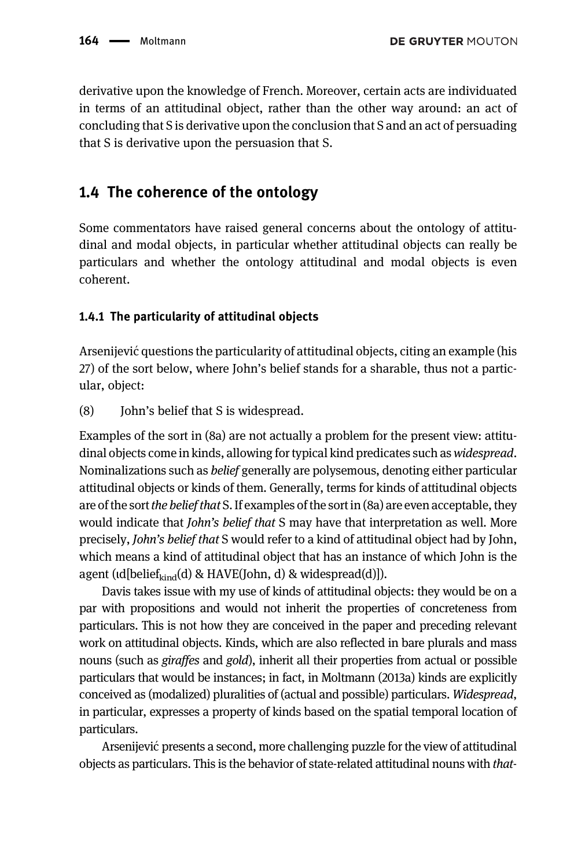derivative upon the knowledge of French. Moreover, certain acts are individuated in terms of an attitudinal object, rather than the other way around: an act of concluding that S is derivative upon the conclusion that S and an act of persuading that S is derivative upon the persuasion that S.

#### 1.4 The coherence of the ontology

Some commentators have raised general concerns about the ontology of attitudinal and modal objects, in particular whether attitudinal objects can really be particulars and whether the ontology attitudinal and modal objects is even coherent.

#### 1.4.1 The particularity of attitudinal objects

Arsenijevic questions the particularity of attitudinal objects, citing an example (his ´ 27) of the sort below, where John's belief stands for a sharable, thus not a particular, object:

(8) John's belief that S is widespread.

Examples of the sort in (8a) are not actually a problem for the present view: attitudinal objects come in kinds, allowing for typical kind predicates such as *widespread*. Nominalizations such as belief generally are polysemous, denoting either particular attitudinal objects or kinds of them. Generally, terms for kinds of attitudinal objects are of the sort the belief that S. If examples of the sort in (8a) are even acceptable, they would indicate that *John's belief that* S may have that interpretation as well. More precisely, John's belief that S would refer to a kind of attitudinal object had by John, which means a kind of attitudinal object that has an instance of which John is the agent ( $\text{Id}[\text{belief}_{\text{kind}}(d) \& \text{HAVE}(\text{John}, d) \& \text{widep}(\text{read}(d))].$ 

Davis takes issue with my use of kinds of attitudinal objects: they would be on a par with propositions and would not inherit the properties of concreteness from particulars. This is not how they are conceived in the paper and preceding relevant work on attitudinal objects. Kinds, which are also reflected in bare plurals and mass nouns (such as giraffes and gold), inherit all their properties from actual or possible particulars that would be instances; in fact, in [Moltmann \(2013a\)](#page-31-6) kinds are explicitly conceived as (modalized) pluralities of (actual and possible) particulars. Widespread, in particular, expresses a property of kinds based on the spatial temporal location of particulars.

Arsenijević presents a second, more challenging puzzle for the view of attitudinal objects as particulars. This is the behavior of state-related attitudinal nouns with that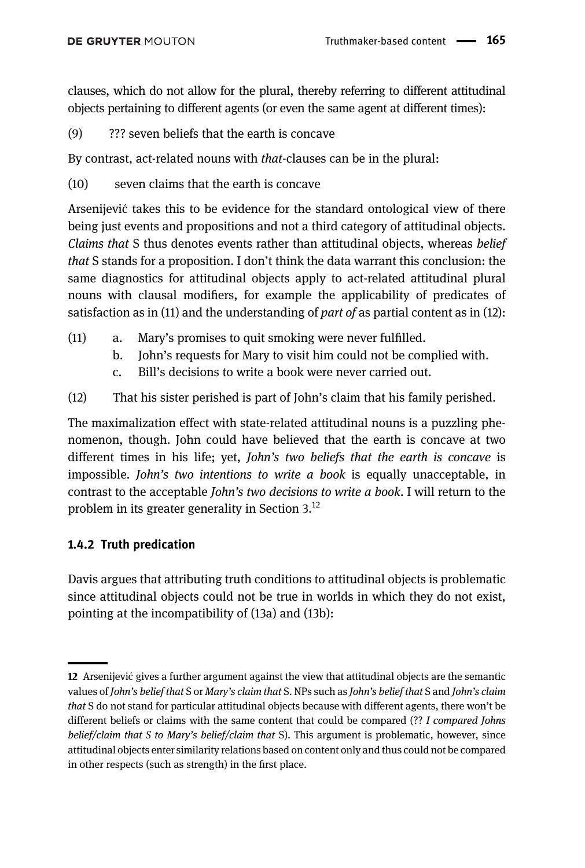clauses, which do not allow for the plural, thereby referring to different attitudinal objects pertaining to different agents (or even the same agent at different times):

(9) ??? seven beliefs that the earth is concave

By contrast, act-related nouns with that-clauses can be in the plural:

(10) seven claims that the earth is concave

Arsenijevic takes this to be evidence for the standard ontological view of there ´ being just events and propositions and not a third category of attitudinal objects. Claims that S thus denotes events rather than attitudinal objects, whereas belief that S stands for a proposition. I don't think the data warrant this conclusion: the same diagnostics for attitudinal objects apply to act-related attitudinal plural nouns with clausal modifiers, for example the applicability of predicates of satisfaction as in (11) and the understanding of *part of* as partial content as in (12):

- (11) a. Mary's promises to quit smoking were never fulfilled.
	- b. John's requests for Mary to visit him could not be complied with.
	- c. Bill's decisions to write a book were never carried out.
- (12) That his sister perished is part of John's claim that his family perished.

The maximalization effect with state-related attitudinal nouns is a puzzling phenomenon, though. John could have believed that the earth is concave at two different times in his life; yet, John's two beliefs that the earth is concave is impossible. *John's two intentions to write a book* is equally unacceptable, in contrast to the acceptable John's two decisions to write a book. I will return to the problem in its greater generality in [Section 3.](#page-19-0)12

#### 1.4.2 Truth predication

Davis argues that attributing truth conditions to attitudinal objects is problematic since attitudinal objects could not be true in worlds in which they do not exist, pointing at the incompatibility of (13a) and (13b):

<sup>12</sup> Arsenijevic gives a further argument against the view that attitudinal objects are the semantic ´ values of John's belief that S or Mary's claim that S. NPs such as John's belief that S and John's claim that S do not stand for particular attitudinal objects because with different agents, there won't be different beliefs or claims with the same content that could be compared (?? I compared Johns belief/claim that S to Mary's belief/claim that S). This argument is problematic, however, since attitudinal objects enter similarity relations based on content only and thus could not be compared in other respects (such as strength) in the first place.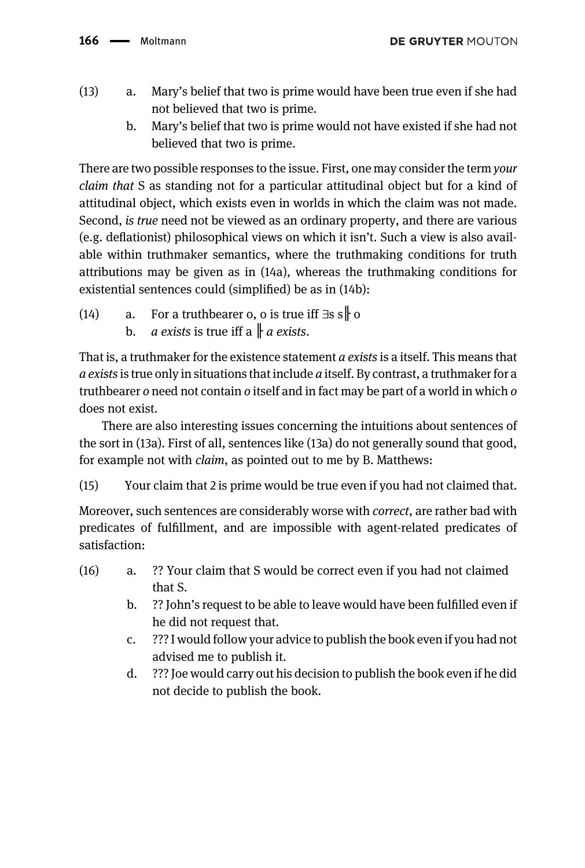- (13) a. Mary's belief that two is prime would have been true even if she had not believed that two is prime.
	- b. Mary's belief that two is prime would not have existed if she had not believed that two is prime.

There are two possible responses to the issue. First, one may consider the term your claim that S as standing not for a particular attitudinal object but for a kind of attitudinal object, which exists even in worlds in which the claim was not made. Second, is true need not be viewed as an ordinary property, and there are various (e.g. deflationist) philosophical views on which it isn't. Such a view is also available within truthmaker semantics, where the truthmaking conditions for truth attributions may be given as in (14a), whereas the truthmaking conditions for existential sentences could (simplified) be as in (14b):

- (14) a. For a truthbearer o, o is true iff  $\exists s s \, \parallel o$ 
	- b. *a exists* is true iff a  $\parallel a$  *exists.*

That is, a truthmaker for the existence statement  $a$  exists is a itself. This means that  $a$  exists is true only in situations that include  $a$  itself. By contrast, a truthmaker for a truthbearer o need not contain o itself and in fact may be part of a world in which o does not exist.

There are also interesting issues concerning the intuitions about sentences of the sort in (13a). First of all, sentences like (13a) do not generally sound that good, for example not with claim, as pointed out to me by B. Matthews:

(15) Your claim that 2 is prime would be true even if you had not claimed that.

Moreover, such sentences are considerably worse with *correct*, are rather bad with predicates of fulfillment, and are impossible with agent-related predicates of satisfaction:

- (16) a. ?? Your claim that S would be correct even if you had not claimed that S.
	- b. ?? John's request to be able to leave would have been fulfilled even if he did not request that.
	- c. ??? I would follow your advice to publish the book even if you had not advised me to publish it.
	- d. ??? Joe would carry out his decision to publish the book even if he did not decide to publish the book.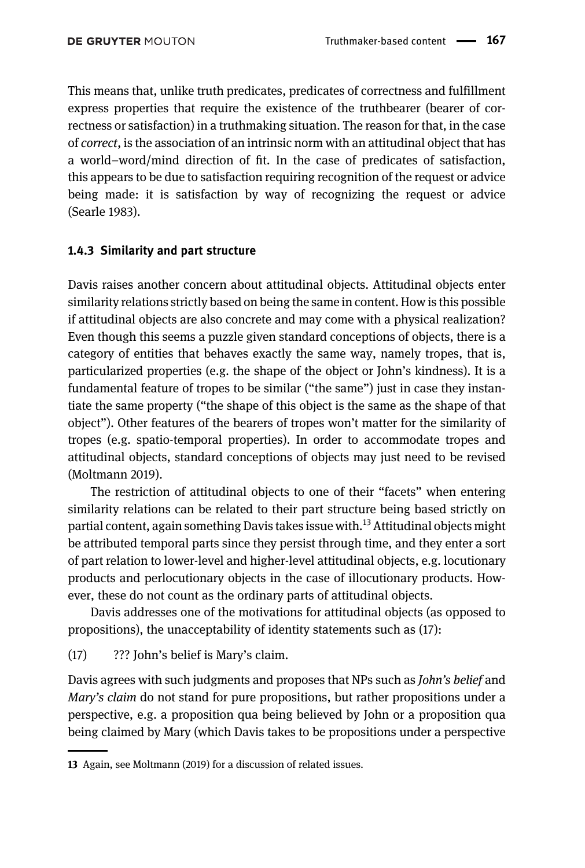This means that, unlike truth predicates, predicates of correctness and fulfillment express properties that require the existence of the truthbearer (bearer of correctness or satisfaction) in a truthmaking situation. The reason for that, in the case of correct, is the association of an intrinsic norm with an attitudinal object that has a world–word/mind direction of fit. In the case of predicates of satisfaction, this appears to be due to satisfaction requiring recognition of the request or advice being made: it is satisfaction by way of recognizing the request or advice [\(Searle 1983\)](#page-32-4).

#### 1.4.3 Similarity and part structure

Davis raises another concern about attitudinal objects. Attitudinal objects enter similarity relations strictly based on being the same in content. How is this possible if attitudinal objects are also concrete and may come with a physical realization? Even though this seems a puzzle given standard conceptions of objects, there is a category of entities that behaves exactly the same way, namely tropes, that is, particularized properties (e.g. the shape of the object or John's kindness). It is a fundamental feature of tropes to be similar ("the same") just in case they instantiate the same property ("the shape of this object is the same as the shape of that object"). Other features of the bearers of tropes won't matter for the similarity of tropes (e.g. spatio-temporal properties). In order to accommodate tropes and attitudinal objects, standard conceptions of objects may just need to be revised [\(Moltmann 2019\)](#page-31-7).

The restriction of attitudinal objects to one of their "facets" when entering similarity relations can be related to their part structure being based strictly on partial content, again something Davis takes issue with.<sup>13</sup> Attitudinal objects might be attributed temporal parts since they persist through time, and they enter a sort of part relation to lower-level and higher-level attitudinal objects, e.g. locutionary products and perlocutionary objects in the case of illocutionary products. However, these do not count as the ordinary parts of attitudinal objects.

Davis addresses one of the motivations for attitudinal objects (as opposed to propositions), the unacceptability of identity statements such as (17):

(17) ??? John's belief is Mary's claim.

Davis agrees with such judgments and proposes that NPs such as John's belief and Mary's claim do not stand for pure propositions, but rather propositions under a perspective, e.g. a proposition qua being believed by John or a proposition qua being claimed by Mary (which Davis takes to be propositions under a perspective

<sup>13</sup> Again, see [Moltmann \(2019\)](#page-31-7) for a discussion of related issues.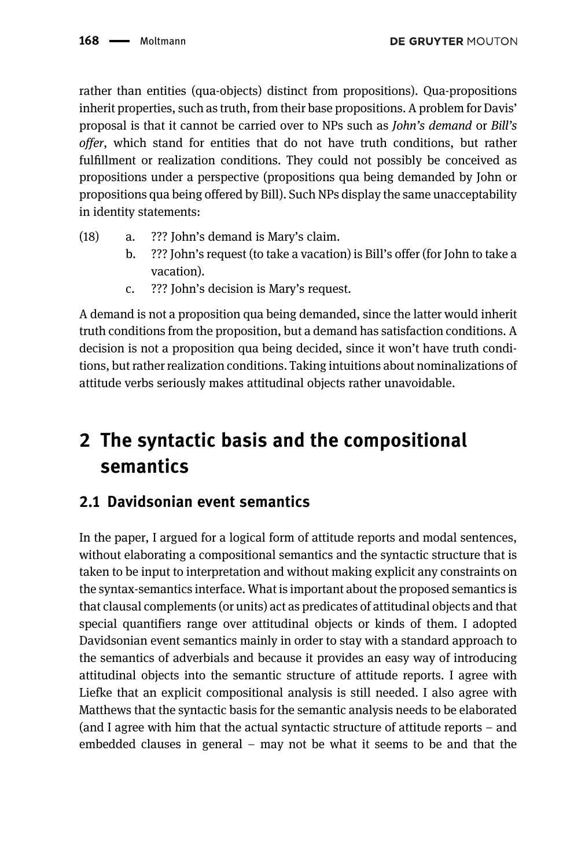rather than entities (qua-objects) distinct from propositions). Qua-propositions inherit properties, such as truth, from their base propositions. A problem for Davis' proposal is that it cannot be carried over to NPs such as John's demand or Bill's offer, which stand for entities that do not have truth conditions, but rather fulfillment or realization conditions. They could not possibly be conceived as propositions under a perspective (propositions qua being demanded by John or propositions qua being offered by Bill). Such NPs display the same unacceptability in identity statements:

- (18) a. ??? John's demand is Mary's claim.
	- b. ??? John's request (to take a vacation) is Bill's offer (for John to take a vacation).
	- c. ??? John's decision is Mary's request.

A demand is not a proposition qua being demanded, since the latter would inherit truth conditions from the proposition, but a demand has satisfaction conditions. A decision is not a proposition qua being decided, since it won't have truth conditions, but rather realization conditions. Taking intuitions about nominalizations of attitude verbs seriously makes attitudinal objects rather unavoidable.

# 2 The syntactic basis and the compositional semantics

## 2.1 Davidsonian event semantics

In the paper, I argued for a logical form of attitude reports and modal sentences, without elaborating a compositional semantics and the syntactic structure that is taken to be input to interpretation and without making explicit any constraints on the syntax-semantics interface. What is important about the proposed semantics is that clausal complements (or units) act as predicates of attitudinal objects and that special quantifiers range over attitudinal objects or kinds of them. I adopted Davidsonian event semantics mainly in order to stay with a standard approach to the semantics of adverbials and because it provides an easy way of introducing attitudinal objects into the semantic structure of attitude reports. I agree with Liefke that an explicit compositional analysis is still needed. I also agree with Matthews that the syntactic basis for the semantic analysis needs to be elaborated (and I agree with him that the actual syntactic structure of attitude reports – and embedded clauses in general – may not be what it seems to be and that the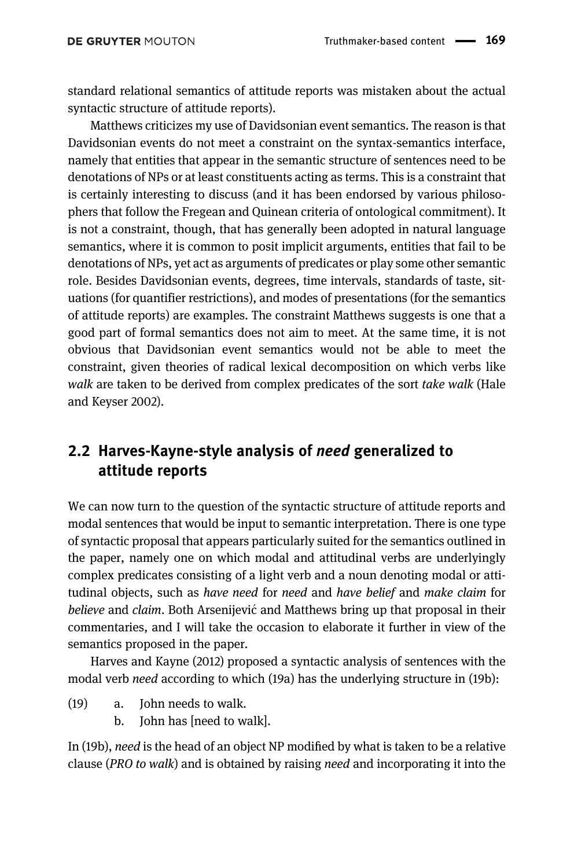standard relational semantics of attitude reports was mistaken about the actual syntactic structure of attitude reports).

Matthews criticizes my use of Davidsonian event semantics. The reason is that Davidsonian events do not meet a constraint on the syntax-semantics interface, namely that entities that appear in the semantic structure of sentences need to be denotations of NPs or at least constituents acting as terms. This is a constraint that is certainly interesting to discuss (and it has been endorsed by various philosophers that follow the Fregean and Quinean criteria of ontological commitment). It is not a constraint, though, that has generally been adopted in natural language semantics, where it is common to posit implicit arguments, entities that fail to be denotations of NPs, yet act as arguments of predicates or play some other semantic role. Besides Davidsonian events, degrees, time intervals, standards of taste, situations (for quantifier restrictions), and modes of presentations (for the semantics of attitude reports) are examples. The constraint Matthews suggests is one that a good part of formal semantics does not aim to meet. At the same time, it is not obvious that Davidsonian event semantics would not be able to meet the constraint, given theories of radical lexical decomposition on which verbs like walk are taken to be derived from complex predicates of the sort take walk [\(Hale](#page-31-8) [and Keyser 2002\)](#page-31-8).

### <span id="page-14-0"></span>2.2 Harves-Kayne-style analysis of need generalized to attitude reports

We can now turn to the question of the syntactic structure of attitude reports and modal sentences that would be input to semantic interpretation. There is one type of syntactic proposal that appears particularly suited for the semantics outlined in the paper, namely one on which modal and attitudinal verbs are underlyingly complex predicates consisting of a light verb and a noun denoting modal or attitudinal objects, such as have need for need and have belief and make claim for believe and claim. Both Arsenijević and Matthews bring up that proposal in their commentaries, and I will take the occasion to elaborate it further in view of the semantics proposed in the paper.

[Harves and Kayne \(2012\)](#page-31-9) proposed a syntactic analysis of sentences with the modal verb need according to which (19a) has the underlying structure in (19b):

- (19) a. John needs to walk.
	- b. John has [need to walk].

In (19b), need is the head of an object NP modified by what is taken to be a relative clause (PRO to walk) and is obtained by raising need and incorporating it into the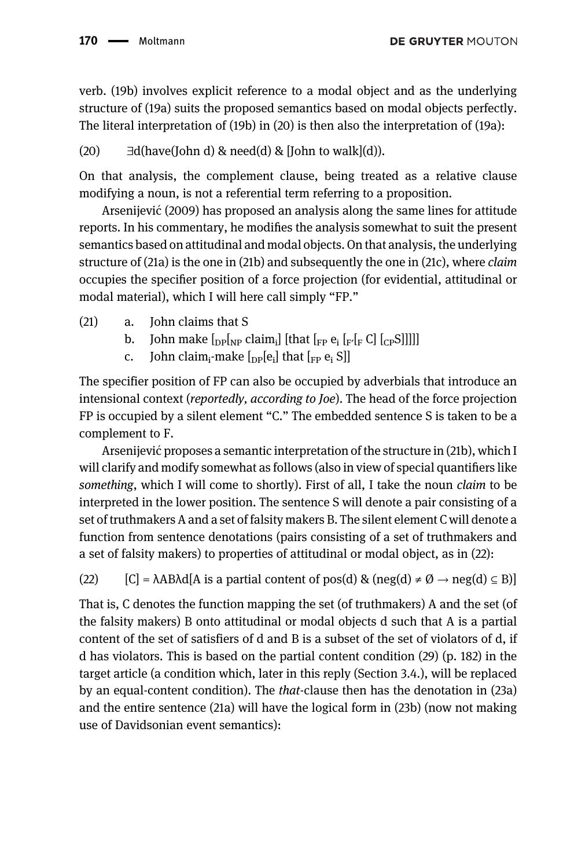verb. (19b) involves explicit reference to a modal object and as the underlying structure of (19a) suits the proposed semantics based on modal objects perfectly. The literal interpretation of (19b) in (20) is then also the interpretation of (19a):

(20)  $\exists d$ (have(John d) & need(d) & [John to walk](d)).

On that analysis, the complement clause, being treated as a relative clause modifying a noun, is not a referential term referring to a proposition.

[Arsenijevic \(2009\)](#page-30-0) has proposed an analysis along the same lines for attitude ´ reports. In his commentary, he modifies the analysis somewhat to suit the present semantics based on attitudinal and modal objects. On that analysis, the underlying structure of (21a) is the one in (21b) and subsequently the one in (21c), where claim occupies the specifier position of a force projection (for evidential, attitudinal or modal material), which I will here call simply "FP."

- (21) a. John claims that S
	- b. John make  $\lceil_{\text{DP}}\rceil_{\text{NP}}$  claim<sub>i</sub>] [that  $\lceil_{\text{FP}} e_i \rceil_{\text{F}} \rceil_{\text{F}} C$ ]  $\lceil_{\text{CP}} S$ ]]]]]
	- c. John claim<sub>i</sub>-make  $\lceil_{\text{DP}}[e_i]$  that  $\lceil_{\text{FP}} e_i S \rceil$

The specifier position of FP can also be occupied by adverbials that introduce an intensional context (reportedly, according to Joe). The head of the force projection FP is occupied by a silent element "C." The embedded sentence S is taken to be a complement to F.

Arsenijevic proposes a semantic interpretation of the structure in (21b), which I ´ will clarify and modify somewhat as follows (also in view of special quantifiers like something, which I will come to shortly). First of all, I take the noun *claim* to be interpreted in the lower position. The sentence S will denote a pair consisting of a set of truthmakers A and a set of falsity makers B. The silent element C will denote a function from sentence denotations (pairs consisting of a set of truthmakers and a set of falsity makers) to properties of attitudinal or modal object, as in (22):

(22)  $[C] = \lambda AB \lambda d[A \text{ is a partial content of } \text{pos}(d) \& \text{ (neg}(d) \neq \emptyset \rightarrow \text{neg}(d) \subseteq B)]$ 

That is, C denotes the function mapping the set (of truthmakers) A and the set (of the falsity makers) B onto attitudinal or modal objects d such that A is a partial content of the set of satisfiers of d and B is a subset of the set of violators of d, if d has violators. This is based on the partial content condition (29) (p. 182) in the target article (a condition which, later in this reply (Section 3.4.), will be replaced by an equal-content condition). The that-clause then has the denotation in (23a) and the entire sentence (21a) will have the logical form in (23b) (now not making use of Davidsonian event semantics):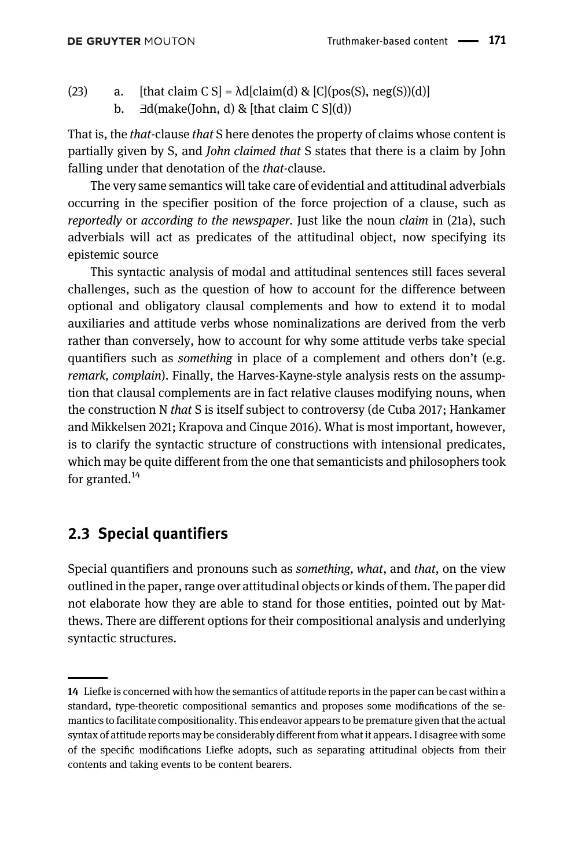- (23) a. [that claim C S] =  $\text{Ad}\left[\text{claim}(d) \& \text{[C]}(\text{pos}(S), \text{neg}(S))\right]$ 
	- b.  $∃d(make(John, d) & (that claim C Sl(d))$

That is, the *that*-clause *that* S here denotes the property of claims whose content is partially given by S, and John claimed that S states that there is a claim by John falling under that denotation of the *that*-clause.

The very same semantics will take care of evidential and attitudinal adverbials occurring in the specifier position of the force projection of a clause, such as reportedly or according to the newspaper. Just like the noun claim in (21a), such adverbials will act as predicates of the attitudinal object, now specifying its epistemic source

This syntactic analysis of modal and attitudinal sentences still faces several challenges, such as the question of how to account for the difference between optional and obligatory clausal complements and how to extend it to modal auxiliaries and attitude verbs whose nominalizations are derived from the verb rather than conversely, how to account for why some attitude verbs take special quantifiers such as something in place of a complement and others don't (e.g. remark, complain). Finally, the Harves-Kayne-style analysis rests on the assumption that clausal complements are in fact relative clauses modifying nouns, when the construction N that S is itself subject to controversy [\(de Cuba 2017](#page-31-10); [Hankamer](#page-31-11) [and Mikkelsen 2021](#page-31-11); [Krapova and Cinque 2016](#page-31-12)). What is most important, however, is to clarify the syntactic structure of constructions with intensional predicates, which may be quite different from the one that semanticists and philosophers took for granted. $^{14}$ 

### 2.3 Special quantifiers

Special quantifiers and pronouns such as something, what, and that, on the view outlined in the paper, range over attitudinal objects or kinds of them. The paper did not elaborate how they are able to stand for those entities, pointed out by Matthews. There are different options for their compositional analysis and underlying syntactic structures.

<sup>14</sup> Liefke is concerned with how the semantics of attitude reports in the paper can be cast within a standard, type-theoretic compositional semantics and proposes some modifications of the semantics to facilitate compositionality. This endeavor appears to be premature given that the actual syntax of attitude reports may be considerably different from what it appears. I disagree with some of the specific modifications Liefke adopts, such as separating attitudinal objects from their contents and taking events to be content bearers.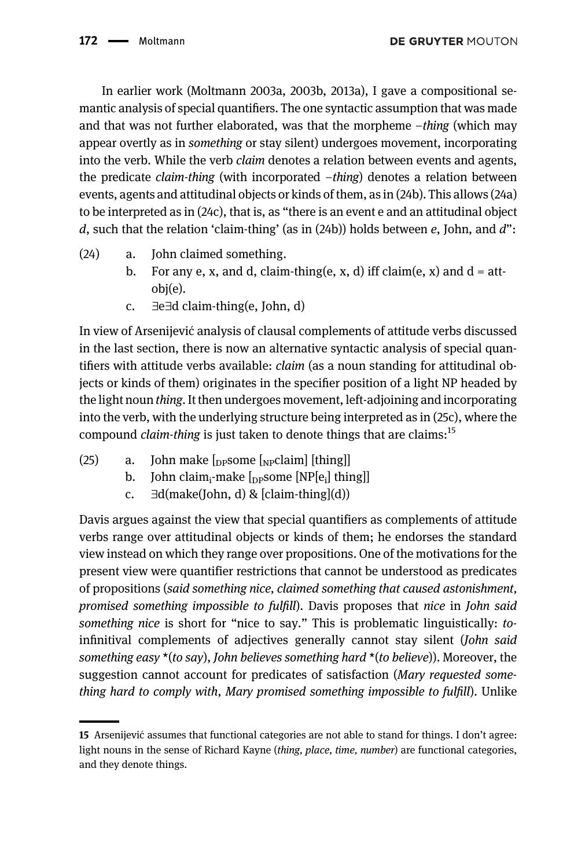In earlier work [\(Moltmann 2003a](#page-31-0), [2003b,](#page-31-13) [2013a](#page-31-6)), I gave a compositional semantic analysis of special quantifiers. The one syntactic assumption that was made and that was not further elaborated, was that the morpheme –thing (which may appear overtly as in something or stay silent) undergoes movement, incorporating into the verb. While the verb claim denotes a relation between events and agents, the predicate claim-thing (with incorporated –thing) denotes a relation between events, agents and attitudinal objects or kinds of them, as in (24b). This allows (24a) to be interpreted as in (24c), that is, as "there is an event e and an attitudinal object d, such that the relation 'claim-thing' (as in  $(24b)$ ) holds between e, John, and d":

- (24) a. John claimed something.
	- b. For any e, x, and d, claim-thing(e, x, d) iff claim(e, x) and  $d = att$ obj(e).
	- c. ∃e∃d claim-thing(e, John, d)

In view of Arsenijevic analysis of clausal complements of attitude verbs discussed ´ in the last section, there is now an alternative syntactic analysis of special quantifiers with attitude verbs available: claim (as a noun standing for attitudinal objects or kinds of them) originates in the specifier position of a light NP headed by the light noun thing. It then undergoes movement, left-adjoining and incorporating into the verb, with the underlying structure being interpreted as in (25c), where the compound *claim-thing* is just taken to denote things that are claims:<sup>15</sup>

- (25) a. John make  $\lceil_{\text{DP}}$ some  $\lceil_{\text{NP}}$ claim $\lceil$  [thing]]
	- b. John claim<sub>i</sub>-make  $\left[_{\text{DP}}\text{some [NP}[e_i]\text{ thing}]\right]$
	- c.  $\exists d(make(John, d) \& [claim-thing](d))$

Davis argues against the view that special quantifiers as complements of attitude verbs range over attitudinal objects or kinds of them; he endorses the standard view instead on which they range over propositions. One of the motivations for the present view were quantifier restrictions that cannot be understood as predicates of propositions (said something nice, claimed something that caused astonishment, promised something impossible to fulfill). Davis proposes that nice in John said something nice is short for "nice to say." This is problematic linguistically: toinfinitival complements of adjectives generally cannot stay silent (John said something easy  $*(to \text{sav})$ , John believes something hard  $*(to \text{ believe})$ ). Moreover, the suggestion cannot account for predicates of satisfaction (Mary requested something hard to comply with, Mary promised something impossible to fulfill). Unlike

<sup>15</sup> Arsenijević assumes that functional categories are not able to stand for things. I don't agree: light nouns in the sense of Richard Kayne (thing, place, time, number) are functional categories, and they denote things.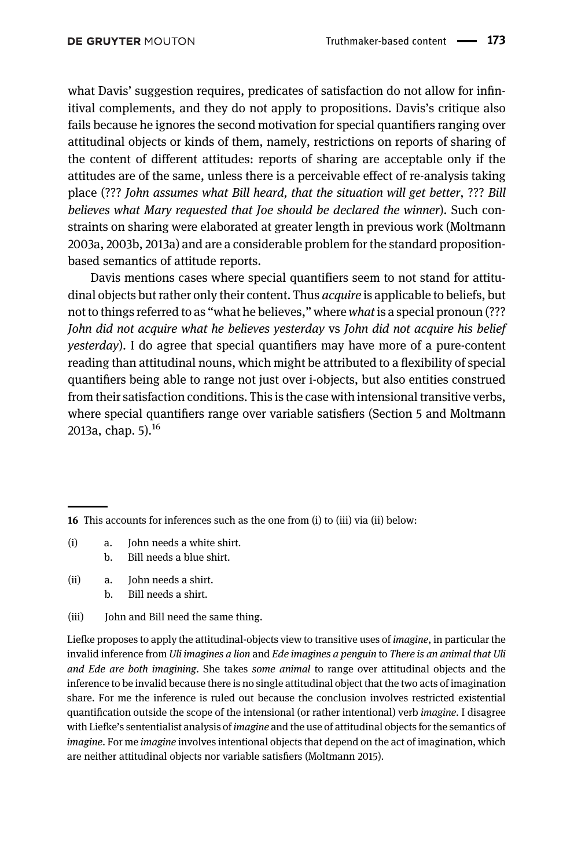what Davis' suggestion requires, predicates of satisfaction do not allow for infinitival complements, and they do not apply to propositions. Davis's critique also fails because he ignores the second motivation for special quantifiers ranging over attitudinal objects or kinds of them, namely, restrictions on reports of sharing of the content of different attitudes: reports of sharing are acceptable only if the attitudes are of the same, unless there is a perceivable effect of re-analysis taking place (??? John assumes what Bill heard, that the situation will get better, ??? Bill believes what Mary requested that Joe should be declared the winner). Such constraints on sharing were elaborated at greater length in previous work [\(Moltmann](#page-31-0) [2003a](#page-31-0), [2003b,](#page-31-13) [2013a\)](#page-31-6) and are a considerable problem for the standard propositionbased semantics of attitude reports.

Davis mentions cases where special quantifiers seem to not stand for attitudinal objects but rather only their content. Thus *acquire* is applicable to beliefs, but not to things referred to as "what he believes," where what is a special pronoun (??? John did not acquire what he believes yesterday vs John did not acquire his belief yesterday). I do agree that special quantifiers may have more of a pure-content reading than attitudinal nouns, which might be attributed to a flexibility of special quantifiers being able to range not just over i-objects, but also entities construed from their satisfaction conditions. This is the case with intensional transitive verbs, where special quantifiers range over variable satisfiers (Section 5 and [Moltmann](#page-31-6) [2013a,](#page-31-6) chap.  $5$ ).<sup>16</sup>

- (i) a. John needs a white shirt. b. Bill needs a blue shirt.
- (ii) a. John needs a shirt.
	- b. Bill needs a shirt.
- (iii) John and Bill need the same thing.

Liefke proposes to apply the attitudinal-objects view to transitive uses of imagine, in particular the invalid inference from Uli imagines a lion and Ede imagines a penguin to There is an animal that Uli and Ede are both imagining. She takes some animal to range over attitudinal objects and the inference to be invalid because there is no single attitudinal object that the two acts of imagination share. For me the inference is ruled out because the conclusion involves restricted existential quantification outside the scope of the intensional (or rather intentional) verb imagine. I disagree with Liefke's sententialist analysis of *imagine* and the use of attitudinal objects for the semantics of imagine. For me imagine involves intentional objects that depend on the act of imagination, which are neither attitudinal objects nor variable satisfiers ([Moltmann 2015\)](#page-31-14).

<sup>16</sup> This accounts for inferences such as the one from (i) to (iii) via (ii) below: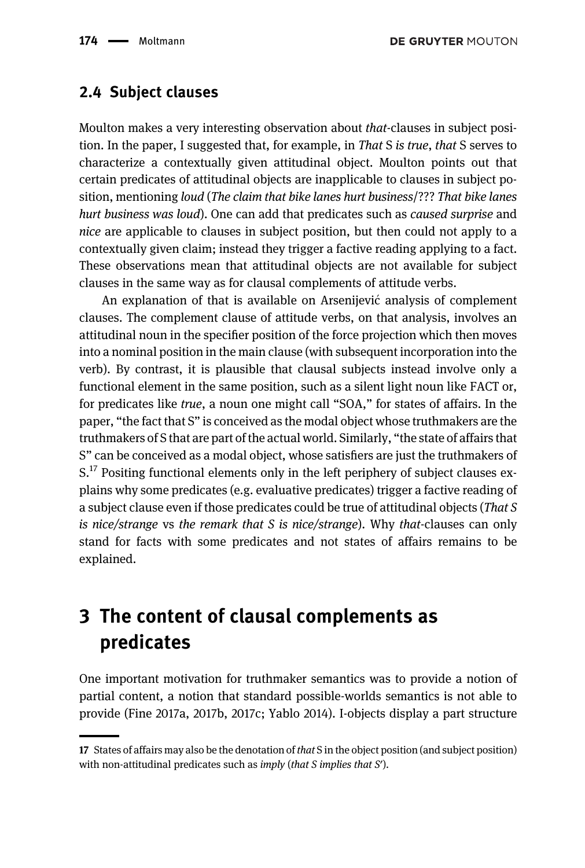#### 2.4 Subject clauses

Moulton makes a very interesting observation about that-clauses in subject position. In the paper, I suggested that, for example, in That S is true, that S serves to characterize a contextually given attitudinal object. Moulton points out that certain predicates of attitudinal objects are inapplicable to clauses in subject position, mentioning loud (The claim that bike lanes hurt business/??? That bike lanes hurt business was loud). One can add that predicates such as caused surprise and nice are applicable to clauses in subject position, but then could not apply to a contextually given claim; instead they trigger a factive reading applying to a fact. These observations mean that attitudinal objects are not available for subject clauses in the same way as for clausal complements of attitude verbs.

An explanation of that is available on Arsenijević analysis of complement clauses. The complement clause of attitude verbs, on that analysis, involves an attitudinal noun in the specifier position of the force projection which then moves into a nominal position in the main clause (with subsequent incorporation into the verb). By contrast, it is plausible that clausal subjects instead involve only a functional element in the same position, such as a silent light noun like FACT or, for predicates like true, a noun one might call "SOA," for states of affairs. In the paper, "the fact that S" is conceived as the modal object whose truthmakers are the truthmakers of S that are part of the actual world. Similarly, "the state of affairs that S" can be conceived as a modal object, whose satisfiers are just the truthmakers of  $S<sup>17</sup>$  Positing functional elements only in the left periphery of subject clauses explains why some predicates (e.g. evaluative predicates) trigger a factive reading of a subject clause even if those predicates could be true of attitudinal objects (That S is nice/strange vs the remark that S is nice/strange). Why that-clauses can only stand for facts with some predicates and not states of affairs remains to be explained.

## <span id="page-19-0"></span>3 The content of clausal complements as predicates

One important motivation for truthmaker semantics was to provide a notion of partial content, a notion that standard possible-worlds semantics is not able to provide [\(Fine 2017a,](#page-31-15) [2017b](#page-31-16), [2017c](#page-31-17); [Yablo 2014\)](#page-32-5). I-objects display a part structure

<sup>17</sup> States of affairs may also be the denotation of that S in the object position (and subject position) with non-attitudinal predicates such as imply (that S implies that S').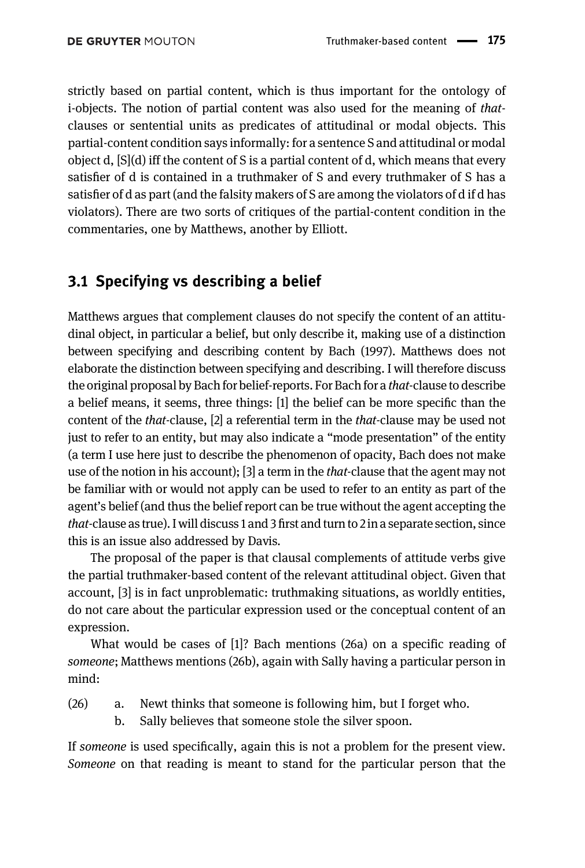strictly based on partial content, which is thus important for the ontology of i-objects. The notion of partial content was also used for the meaning of thatclauses or sentential units as predicates of attitudinal or modal objects. This partial-content condition says informally: for a sentence S and attitudinal or modal object d,  $[S](d)$  iff the content of S is a partial content of d, which means that every satisfier of d is contained in a truthmaker of S and every truthmaker of S has a satisfier of d as part (and the falsity makers of S are among the violators of d if d has violators). There are two sorts of critiques of the partial-content condition in the commentaries, one by Matthews, another by Elliott.

### 3.1 Specifying vs describing a belief

Matthews argues that complement clauses do not specify the content of an attitudinal object, in particular a belief, but only describe it, making use of a distinction between specifying and describing content by [Bach \(1997\).](#page-31-18) Matthews does not elaborate the distinction between specifying and describing. I will therefore discuss the original proposal by Bach for belief-reports. For Bach for a that-clause to describe a belief means, it seems, three things: [1] the belief can be more specific than the content of the that-clause, [2] a referential term in the that-clause may be used not just to refer to an entity, but may also indicate a "mode presentation" of the entity (a term I use here just to describe the phenomenon of opacity, Bach does not make use of the notion in his account); [3] a term in the *that*-clause that the agent may not be familiar with or would not apply can be used to refer to an entity as part of the agent's belief (and thus the belief report can be true without the agent accepting the that-clause as true). I will discuss 1 and 3 first and turn to 2 in a separate section, since this is an issue also addressed by Davis.

The proposal of the paper is that clausal complements of attitude verbs give the partial truthmaker-based content of the relevant attitudinal object. Given that account, [3] is in fact unproblematic: truthmaking situations, as worldly entities, do not care about the particular expression used or the conceptual content of an expression.

What would be cases of [1]? Bach mentions (26a) on a specific reading of someone; Matthews mentions (26b), again with Sally having a particular person in mind:

- (26) a. Newt thinks that someone is following him, but I forget who.
	- b. Sally believes that someone stole the silver spoon.

If someone is used specifically, again this is not a problem for the present view. Someone on that reading is meant to stand for the particular person that the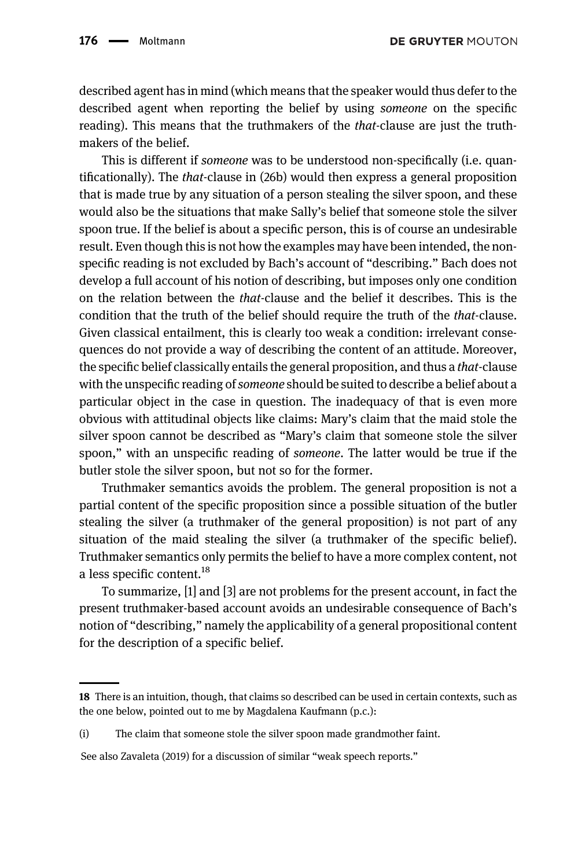DE GRUYTER MOUTON

described agent has in mind (which means that the speaker would thus defer to the described agent when reporting the belief by using someone on the specific reading). This means that the truthmakers of the *that*-clause are just the truthmakers of the belief.

This is different if someone was to be understood non-specifically (i.e. quantificationally). The that-clause in (26b) would then express a general proposition that is made true by any situation of a person stealing the silver spoon, and these would also be the situations that make Sally's belief that someone stole the silver spoon true. If the belief is about a specific person, this is of course an undesirable result. Even though this is not how the examples may have been intended, the nonspecific reading is not excluded by Bach's account of "describing." Bach does not develop a full account of his notion of describing, but imposes only one condition on the relation between the that-clause and the belief it describes. This is the condition that the truth of the belief should require the truth of the that-clause. Given classical entailment, this is clearly too weak a condition: irrelevant consequences do not provide a way of describing the content of an attitude. Moreover, the specific belief classically entails the general proposition, and thus a *that*-clause with the unspecific reading of someone should be suited to describe a belief about a particular object in the case in question. The inadequacy of that is even more obvious with attitudinal objects like claims: Mary's claim that the maid stole the silver spoon cannot be described as "Mary's claim that someone stole the silver spoon," with an unspecific reading of *someone*. The latter would be true if the butler stole the silver spoon, but not so for the former.

Truthmaker semantics avoids the problem. The general proposition is not a partial content of the specific proposition since a possible situation of the butler stealing the silver (a truthmaker of the general proposition) is not part of any situation of the maid stealing the silver (a truthmaker of the specific belief). Truthmaker semantics only permits the belief to have a more complex content, not a less specific content.<sup>18</sup>

To summarize, [1] and [3] are not problems for the present account, in fact the present truthmaker-based account avoids an undesirable consequence of Bach's notion of "describing," namely the applicability of a general propositional content for the description of a specific belief.

<sup>18</sup> There is an intuition, though, that claims so described can be used in certain contexts, such as the one below, pointed out to me by Magdalena Kaufmann (p.c.):

<sup>(</sup>i) The claim that someone stole the silver spoon made grandmother faint.

See also [Zavaleta \(2019\)](#page-32-6) for a discussion of similar "weak speech reports."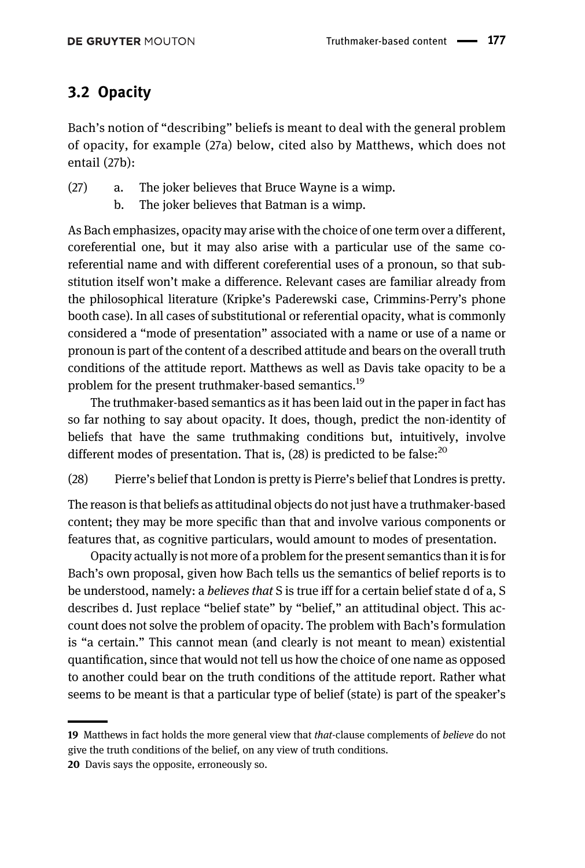## 3.2 Opacity

Bach's notion of "describing" beliefs is meant to deal with the general problem of opacity, for example (27a) below, cited also by Matthews, which does not entail (27b):

- (27) a. The joker believes that Bruce Wayne is a wimp.
	- b. The joker believes that Batman is a wimp.

As Bach emphasizes, opacity may arise with the choice of one term over a different, coreferential one, but it may also arise with a particular use of the same coreferential name and with different coreferential uses of a pronoun, so that substitution itself won't make a difference. Relevant cases are familiar already from the philosophical literature (Kripke's Paderewski case, Crimmins-Perry's phone booth case). In all cases of substitutional or referential opacity, what is commonly considered a "mode of presentation" associated with a name or use of a name or pronoun is part of the content of a described attitude and bears on the overall truth conditions of the attitude report. Matthews as well as Davis take opacity to be a problem for the present truthmaker-based semantics.<sup>19</sup>

The truthmaker-based semantics as it has been laid out in the paper in fact has so far nothing to say about opacity. It does, though, predict the non-identity of beliefs that have the same truthmaking conditions but, intuitively, involve different modes of presentation. That is,  $(28)$  is predicted to be false:<sup>20</sup>

(28) Pierre's belief that London is pretty is Pierre's belief that Londres is pretty.

The reason is that beliefs as attitudinal objects do not just have a truthmaker-based content; they may be more specific than that and involve various components or features that, as cognitive particulars, would amount to modes of presentation.

Opacity actually is not more of a problem for the present semantics than it is for Bach's own proposal, given how Bach tells us the semantics of belief reports is to be understood, namely: a *believes that* S is true iff for a certain belief state d of a, S describes d. Just replace "belief state" by "belief," an attitudinal object. This account does not solve the problem of opacity. The problem with Bach's formulation is "a certain." This cannot mean (and clearly is not meant to mean) existential quantification, since that would not tell us how the choice of one name as opposed to another could bear on the truth conditions of the attitude report. Rather what seems to be meant is that a particular type of belief (state) is part of the speaker's

<sup>19</sup> Matthews in fact holds the more general view that *that*-clause complements of *believe* do not give the truth conditions of the belief, on any view of truth conditions.

<sup>20</sup> Davis says the opposite, erroneously so.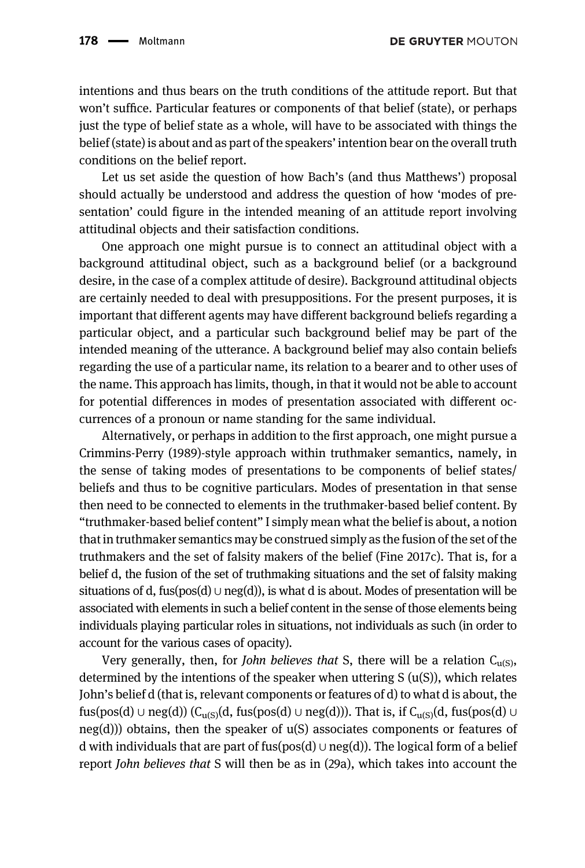intentions and thus bears on the truth conditions of the attitude report. But that won't suffice. Particular features or components of that belief (state), or perhaps just the type of belief state as a whole, will have to be associated with things the belief (state) is about and as part of the speakers' intention bear on the overall truth conditions on the belief report.

Let us set aside the question of how Bach's (and thus Matthews') proposal should actually be understood and address the question of how 'modes of presentation' could figure in the intended meaning of an attitude report involving attitudinal objects and their satisfaction conditions.

One approach one might pursue is to connect an attitudinal object with a background attitudinal object, such as a background belief (or a background desire, in the case of a complex attitude of desire). Background attitudinal objects are certainly needed to deal with presuppositions. For the present purposes, it is important that different agents may have different background beliefs regarding a particular object, and a particular such background belief may be part of the intended meaning of the utterance. A background belief may also contain beliefs regarding the use of a particular name, its relation to a bearer and to other uses of the name. This approach has limits, though, in that it would not be able to account for potential differences in modes of presentation associated with different occurrences of a pronoun or name standing for the same individual.

Alternatively, or perhaps in addition to the first approach, one might pursue a [Crimmins-Perry \(1989\)](#page-31-19)-style approach within truthmaker semantics, namely, in the sense of taking modes of presentations to be components of belief states/ beliefs and thus to be cognitive particulars. Modes of presentation in that sense then need to be connected to elements in the truthmaker-based belief content. By "truthmaker-based belief content" I simply mean what the belief is about, a notion that in truthmaker semantics may be construed simply as the fusion of the set of the truthmakers and the set of falsity makers of the belief [\(Fine 2017c\)](#page-31-17). That is, for a belief d, the fusion of the set of truthmaking situations and the set of falsity making situations of d, fus(pos(d) ∪ neg(d)), is what d is about. Modes of presentation will be associated with elements in such a belief content in the sense of those elements being individuals playing particular roles in situations, not individuals as such (in order to account for the various cases of opacity).

Very generally, then, for John believes that S, there will be a relation  $C_{u(S)}$ , determined by the intentions of the speaker when uttering  $S(u(S))$ , which relates John's belief d (that is, relevant components or features of d) to what d is about, the fus(pos(d) ∪ neg(d)) (C<sub>u(S)</sub>(d, fus(pos(d) ∪ neg(d))). That is, if C<sub>u(S)</sub>(d, fus(pos(d) ∪ neg(d))) obtains, then the speaker of u(S) associates components or features of d with individuals that are part of fus(pos(d) ∪ neg(d)). The logical form of a belief report John believes that S will then be as in (29a), which takes into account the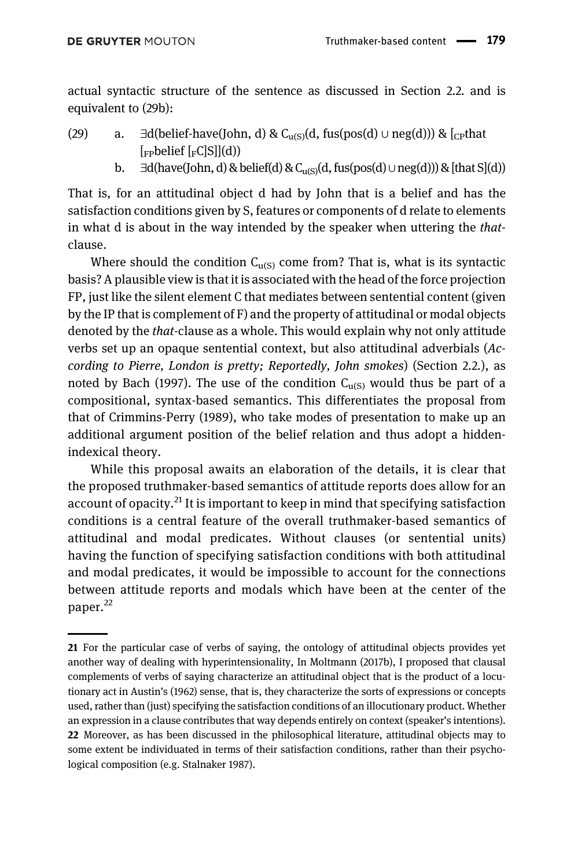actual syntactic structure of the sentence as discussed in [Section 2.2.](#page-14-0) and is equivalent to (29b):

- (29) a. ∃d(belief-have(John, d) & C<sub>u(S)</sub>(d, fus(pos(d) ∪ neg(d))) &  $\lceil_{C}$ that  $[$ <sub>FP</sub>belief  $[$ <sub>F</sub>C $]$ S $]$  $(d)$  $)$ 
	- b.  $\exists d$ (have(John, d) & belief(d) & C<sub>u(S)</sub>(d, fus(pos(d)∪neg(d))) & [that S](d))

That is, for an attitudinal object d had by John that is a belief and has the satisfaction conditions given by S, features or components of d relate to elements in what d is about in the way intended by the speaker when uttering the thatclause.

Where should the condition  $C_{\alpha(s)}$  come from? That is, what is its syntactic basis? A plausible view is that it is associated with the head of the force projection FP, just like the silent element C that mediates between sentential content (given by the IP that is complement of F) and the property of attitudinal or modal objects denoted by the *that*-clause as a whole. This would explain why not only attitude verbs set up an opaque sentential context, but also attitudinal adverbials (According to Pierre, London is pretty; Reportedly, John smokes) [\(Section 2.2.](#page-14-0)), as noted by [Bach \(1997\)](#page-31-18). The use of the condition  $C_{\text{u(S)}}$  would thus be part of a compositional, syntax-based semantics. This differentiates the proposal from that of [Crimmins-Perry \(1989\)](#page-31-19), who take modes of presentation to make up an additional argument position of the belief relation and thus adopt a hiddenindexical theory.

While this proposal awaits an elaboration of the details, it is clear that the proposed truthmaker-based semantics of attitude reports does allow for an account of opacity.<sup>21</sup> It is important to keep in mind that specifying satisfaction conditions is a central feature of the overall truthmaker-based semantics of attitudinal and modal predicates. Without clauses (or sentential units) having the function of specifying satisfaction conditions with both attitudinal and modal predicates, it would be impossible to account for the connections between attitude reports and modals which have been at the center of the paper.<sup>22</sup>

<sup>21</sup> For the particular case of verbs of saying, the ontology of attitudinal objects provides yet another way of dealing with hyperintensionality, In [Moltmann \(2017b\),](#page-31-20) I proposed that clausal complements of verbs of saying characterize an attitudinal object that is the product of a locutionary act in Austin'[s \(1962\)](#page-30-1) sense, that is, they characterize the sorts of expressions or concepts used, rather than (just) specifying the satisfaction conditions of an illocutionary product. Whether an expression in a clause contributes that way depends entirely on context (speaker's intentions). 22 Moreover, as has been discussed in the philosophical literature, attitudinal objects may to some extent be individuated in terms of their satisfaction conditions, rather than their psychological composition (e.g. [Stalnaker 1987](#page-32-7)).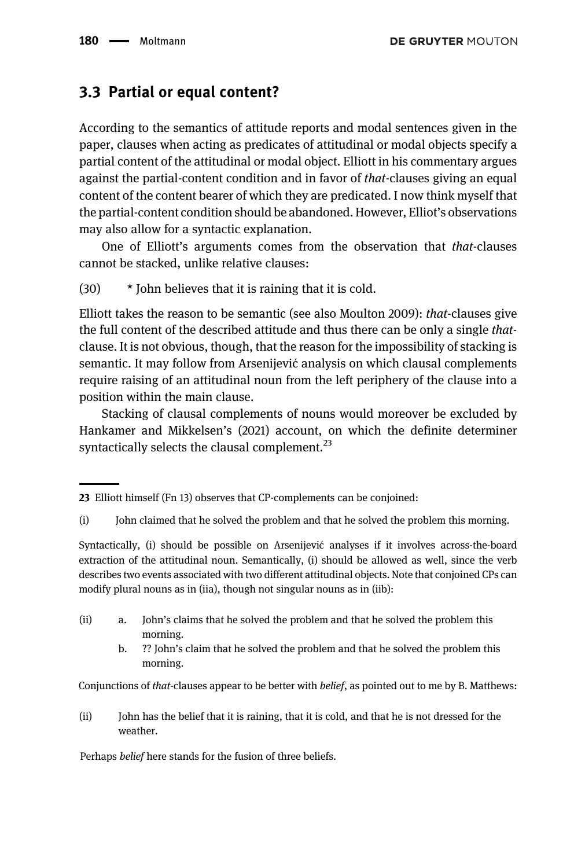## 3.3 Partial or equal content?

According to the semantics of attitude reports and modal sentences given in the paper, clauses when acting as predicates of attitudinal or modal objects specify a partial content of the attitudinal or modal object. Elliott in his commentary argues against the partial-content condition and in favor of that-clauses giving an equal content of the content bearer of which they are predicated. I now think myself that the partial-content condition should be abandoned. However, Elliot's observations may also allow for a syntactic explanation.

One of Elliott's arguments comes from the observation that that-clauses cannot be stacked, unlike relative clauses:

(30) \* John believes that it is raining that it is cold.

Elliott takes the reason to be semantic (see also Moulton 2009): that-clauses give the full content of the described attitude and thus there can be only a single thatclause. It is not obvious, though, that the reason for the impossibility of stacking is semantic. It may follow from Arsenijevic analysis on which clausal complements ´ require raising of an attitudinal noun from the left periphery of the clause into a position within the main clause.

Stacking of clausal complements of nouns would moreover be excluded by Hankamer and Mikkelsen's (2021) account, on which the definite determiner syntactically selects the clausal complement. $^{23}$ 

- (ii) a. John's claims that he solved the problem and that he solved the problem this morning.
	- b. ?? John's claim that he solved the problem and that he solved the problem this morning.

Conjunctions of that-clauses appear to be better with belief, as pointed out to me by B. Matthews:

(ii) John has the belief that it is raining, that it is cold, and that he is not dressed for the weather.

Perhaps belief here stands for the fusion of three beliefs.

<sup>23</sup> Elliott himself (Fn 13) observes that CP-complements can be conjoined:

<sup>(</sup>i) John claimed that he solved the problem and that he solved the problem this morning.

Syntactically, (i) should be possible on Arsenijević analyses if it involves across-the-board extraction of the attitudinal noun. Semantically, (i) should be allowed as well, since the verb describes two events associated with two different attitudinal objects. Note that conjoined CPs can modify plural nouns as in (iia), though not singular nouns as in (iib):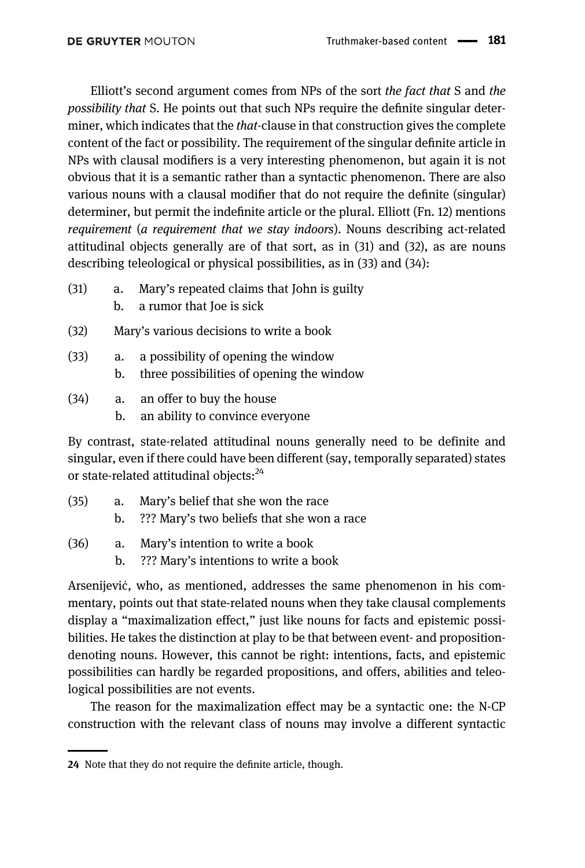Elliott's second argument comes from NPs of the sort the fact that S and the possibility that S. He points out that such NPs require the definite singular determiner, which indicates that the *that*-clause in that construction gives the complete content of the fact or possibility. The requirement of the singular definite article in NPs with clausal modifiers is a very interesting phenomenon, but again it is not obvious that it is a semantic rather than a syntactic phenomenon. There are also various nouns with a clausal modifier that do not require the definite (singular) determiner, but permit the indefinite article or the plural. Elliott (Fn. 12) mentions requirement (a requirement that we stay indoors). Nouns describing act-related attitudinal objects generally are of that sort, as in (31) and (32), as are nouns describing teleological or physical possibilities, as in (33) and (34):

- (31) a. Mary's repeated claims that John is guilty b. a rumor that Joe is sick
	-
- (32) Mary's various decisions to write a book
- (33) a. a possibility of opening the window b. three possibilities of opening the window
- (34) a. an offer to buy the house
	- b. an ability to convince everyone

By contrast, state-related attitudinal nouns generally need to be definite and singular, even if there could have been different (say, temporally separated) states or state-related attitudinal objects:<sup>24</sup>

- (35) a. Mary's belief that she won the race
	- b. ??? Mary's two beliefs that she won a race
- (36) a. Mary's intention to write a book
	- b. ??? Mary's intentions to write a book

Arsenijevic, who, as mentioned, addresses the same phenomenon in his com- ´ mentary, points out that state-related nouns when they take clausal complements display a "maximalization effect," just like nouns for facts and epistemic possibilities. He takes the distinction at play to be that between event- and propositiondenoting nouns. However, this cannot be right: intentions, facts, and epistemic possibilities can hardly be regarded propositions, and offers, abilities and teleological possibilities are not events.

The reason for the maximalization effect may be a syntactic one: the N-CP construction with the relevant class of nouns may involve a different syntactic

<sup>24</sup> Note that they do not require the definite article, though.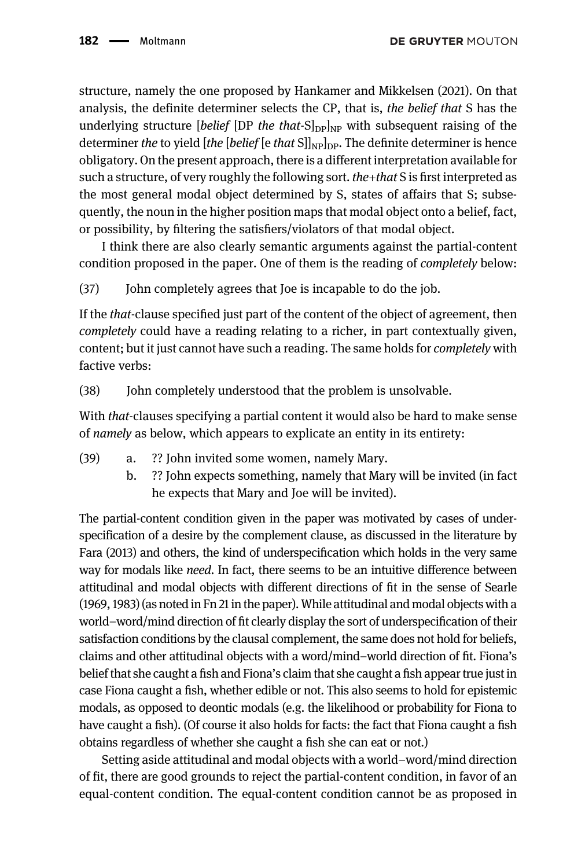structure, namely the one proposed by Hankamer and Mikkelsen (2021). On that analysis, the definite determiner selects the CP, that is, the belief that S has the underlying structure *[belief [DP the that-S*] $_{\text{Dplup}}$  with subsequent raising of the determiner the to yield [the [belief [e that  $S||_{NP}$ ]<sub>DP</sub>. The definite determiner is hence obligatory. On the present approach, there is a different interpretation available for such a structure, of very roughly the following sort. the + that S is first interpreted as the most general modal object determined by S, states of affairs that S; subsequently, the noun in the higher position maps that modal object onto a belief, fact, or possibility, by filtering the satisfiers/violators of that modal object.

I think there are also clearly semantic arguments against the partial-content condition proposed in the paper. One of them is the reading of completely below:

(37) John completely agrees that Joe is incapable to do the job.

If the that-clause specified just part of the content of the object of agreement, then completely could have a reading relating to a richer, in part contextually given, content; but it just cannot have such a reading. The same holds for completely with factive verbs:

(38) John completely understood that the problem is unsolvable.

With *that*-clauses specifying a partial content it would also be hard to make sense of namely as below, which appears to explicate an entity in its entirety:

- (39) a. ?? John invited some women, namely Mary.
	- b. ?? John expects something, namely that Mary will be invited (in fact he expects that Mary and Joe will be invited).

The partial-content condition given in the paper was motivated by cases of underspecification of a desire by the complement clause, as discussed in the literature by [Fara \(2013\)](#page-31-21) and others, the kind of underspecification which holds in the very same way for modals like need. In fact, there seems to be an intuitive difference between attitudinal and modal objects with different directions of fit in the sense of [Searle](#page-32-3) [\(1969](#page-32-3), [1983\)](#page-32-4) (as noted in Fn 21 in the paper). While attitudinal and modal objects with a world–word/mind direction of fit clearly display the sort of underspecification of their satisfaction conditions by the clausal complement, the same does not hold for beliefs, claims and other attitudinal objects with a word/mind–world direction of fit. Fiona's belief that she caught a fish and Fiona's claim that she caught a fish appear true just in case Fiona caught a fish, whether edible or not. This also seems to hold for epistemic modals, as opposed to deontic modals (e.g. the likelihood or probability for Fiona to have caught a fish). (Of course it also holds for facts: the fact that Fiona caught a fish obtains regardless of whether she caught a fish she can eat or not.)

Setting aside attitudinal and modal objects with a world–word/mind direction of fit, there are good grounds to reject the partial-content condition, in favor of an equal-content condition. The equal-content condition cannot be as proposed in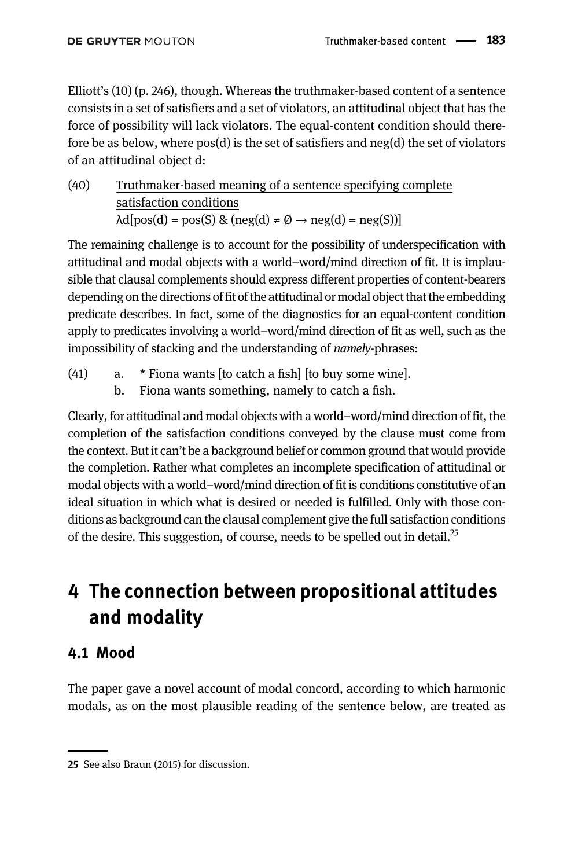Elliott's (10) (p. 246), though. Whereas the truthmaker-based content of a sentence consists in a set of satisfiers and a set of violators, an attitudinal object that has the force of possibility will lack violators. The equal-content condition should therefore be as below, where  $pos(d)$  is the set of satisfiers and  $neg(d)$  the set of violators of an attitudinal object d:

(40) Truthmaker-based meaning of a sentence specifying complete satisfaction conditions  $\lambda d[pos(d) = pos(S) \& (neg(d) \neq \emptyset \rightarrow neg(d) = neg(S))]$ 

The remaining challenge is to account for the possibility of underspecification with attitudinal and modal objects with a world–word/mind direction of fit. It is implausible that clausal complements should express different properties of content-bearers depending on the directions of fit of the attitudinal or modal object that the embedding predicate describes. In fact, some of the diagnostics for an equal-content condition apply to predicates involving a world–word/mind direction of fit as well, such as the impossibility of stacking and the understanding of namely-phrases:

- (41) a. \* Fiona wants [to catch a fish] [to buy some wine].
	- b. Fiona wants something, namely to catch a fish.

Clearly, for attitudinal and modal objects with a world–word/mind direction of fit, the completion of the satisfaction conditions conveyed by the clause must come from the context. But it can't be a background belief or common ground that would provide the completion. Rather what completes an incomplete specification of attitudinal or modal objects with a world–word/mind direction of fit is conditions constitutive of an ideal situation in which what is desired or needed is fulfilled. Only with those conditions as background can the clausal complement give the full satisfaction conditions of the desire. This suggestion, of course, needs to be spelled out in detail.<sup>25</sup>

# 4 The connection between propositional attitudes and modality

## 4.1 Mood

The paper gave a novel account of modal concord, according to which harmonic modals, as on the most plausible reading of the sentence below, are treated as

<sup>25</sup> See also [Braun \(2015\)](#page-31-22) for discussion.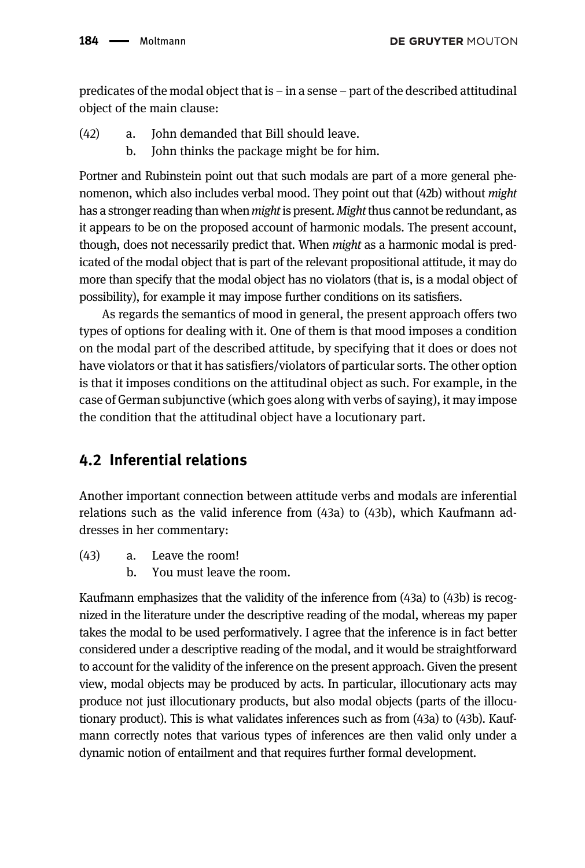predicates of the modal object that is – in a sense – part of the described attitudinal object of the main clause:

- (42) a. John demanded that Bill should leave.
	- b. John thinks the package might be for him.

Portner and Rubinstein point out that such modals are part of a more general phenomenon, which also includes verbal mood. They point out that (42b) without might has a stronger reading than when *might* is present. *Might* thus cannot be redundant, as it appears to be on the proposed account of harmonic modals. The present account, though, does not necessarily predict that. When might as a harmonic modal is predicated of the modal object that is part of the relevant propositional attitude, it may do more than specify that the modal object has no violators (that is, is a modal object of possibility), for example it may impose further conditions on its satisfiers.

As regards the semantics of mood in general, the present approach offers two types of options for dealing with it. One of them is that mood imposes a condition on the modal part of the described attitude, by specifying that it does or does not have violators or that it has satisfiers/violators of particular sorts. The other option is that it imposes conditions on the attitudinal object as such. For example, in the case of German subjunctive (which goes along with verbs of saying), it may impose the condition that the attitudinal object have a locutionary part.

## 4.2 Inferential relations

Another important connection between attitude verbs and modals are inferential relations such as the valid inference from (43a) to (43b), which Kaufmann addresses in her commentary:

- (43) a. Leave the room!
	- b. You must leave the room.

Kaufmann emphasizes that the validity of the inference from (43a) to (43b) is recognized in the literature under the descriptive reading of the modal, whereas my paper takes the modal to be used performatively. I agree that the inference is in fact better considered under a descriptive reading of the modal, and it would be straightforward to account for the validity of the inference on the present approach. Given the present view, modal objects may be produced by acts. In particular, illocutionary acts may produce not just illocutionary products, but also modal objects (parts of the illocutionary product). This is what validates inferences such as from (43a) to (43b). Kaufmann correctly notes that various types of inferences are then valid only under a dynamic notion of entailment and that requires further formal development.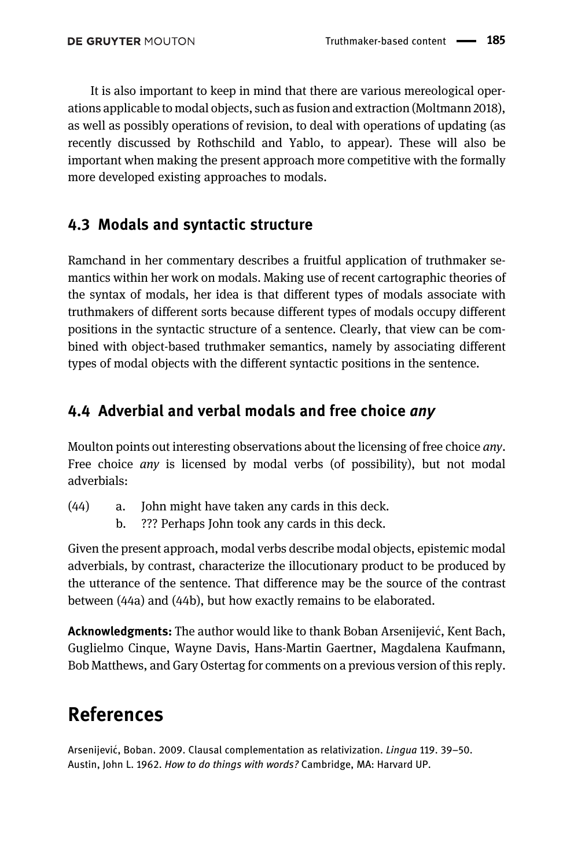It is also important to keep in mind that there are various mereological operations applicable to modal objects, such as fusion and extraction [\(Moltmann 2018\)](#page-31-23), as well as possibly operations of revision, to deal with operations of updating (as recently discussed by [Rothschild and Yablo, to appear](#page-32-8)). These will also be important when making the present approach more competitive with the formally more developed existing approaches to modals.

## 4.3 Modals and syntactic structure

Ramchand in her commentary describes a fruitful application of truthmaker semantics within her work on modals. Making use of recent cartographic theories of the syntax of modals, her idea is that different types of modals associate with truthmakers of different sorts because different types of modals occupy different positions in the syntactic structure of a sentence. Clearly, that view can be combined with object-based truthmaker semantics, namely by associating different types of modal objects with the different syntactic positions in the sentence.

## 4.4 Adverbial and verbal modals and free choice any

Moulton points out interesting observations about the licensing of free choice *any*. Free choice *any* is licensed by modal verbs (of possibility), but not modal adverbials:

- (44) a. John might have taken any cards in this deck.
	- b. ??? Perhaps John took any cards in this deck.

Given the present approach, modal verbs describe modal objects, epistemic modal adverbials, by contrast, characterize the illocutionary product to be produced by the utterance of the sentence. That difference may be the source of the contrast between (44a) and (44b), but how exactly remains to be elaborated.

Acknowledgments: The author would like to thank Boban Arsenijević, Kent Bach, Guglielmo Cinque, Wayne Davis, Hans-Martin Gaertner, Magdalena Kaufmann, Bob Matthews, and Gary Ostertag for comments on a previous version of this reply.

## References

<span id="page-30-1"></span><span id="page-30-0"></span>Arsenijević, Boban. 2009. Clausal complementation as relativization. *Lingua* 119. 39–50. Austin, John L. 1962. How to do things with words? Cambridge, MA: Harvard UP.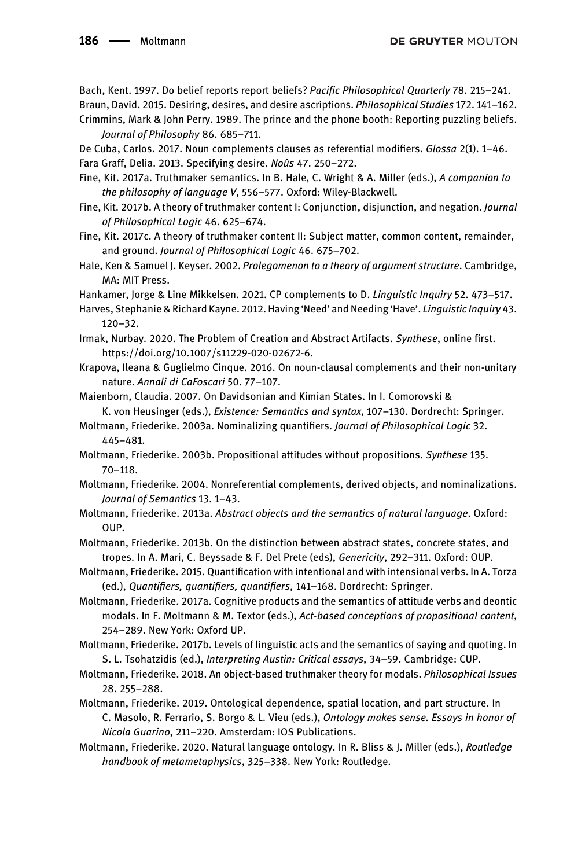<span id="page-31-22"></span><span id="page-31-18"></span>Bach, Kent. 1997. Do belief reports report beliefs? Pacific Philosophical Quarterly 78. 215–241. Braun, David. 2015. Desiring, desires, and desire ascriptions. Philosophical Studies 172. 141–162.

<span id="page-31-19"></span>Crimmins, Mark & John Perry. 1989. The prince and the phone booth: Reporting puzzling beliefs. Journal of Philosophy 86. 685–711.

<span id="page-31-21"></span><span id="page-31-10"></span>De Cuba, Carlos. 2017. Noun complements clauses as referential modifiers. Glossa 2(1). 1–46. Fara Graff, Delia. 2013. Specifying desire. Noûs 47. 250–272.

- <span id="page-31-15"></span>Fine, Kit. 2017a. Truthmaker semantics. In B. Hale, C. Wright & A. Miller (eds.), A companion to the philosophy of language V, 556–577. Oxford: Wiley-Blackwell.
- <span id="page-31-16"></span>Fine, Kit. 2017b. A theory of truthmaker content I: Conjunction, disjunction, and negation. Journal of Philosophical Logic 46. 625–674.
- <span id="page-31-17"></span>Fine, Kit. 2017c. A theory of truthmaker content II: Subject matter, common content, remainder, and ground. Journal of Philosophical Logic 46. 675–702.
- <span id="page-31-8"></span>Hale, Ken & Samuel J. Keyser. 2002. Prolegomenon to a theory of argument structure. Cambridge, MA: MIT Press.

<span id="page-31-11"></span>Hankamer, Jorge & Line Mikkelsen. 2021. CP complements to D. Linguistic Inquiry 52. 473–517.

- <span id="page-31-9"></span>Harves, Stephanie & Richard Kayne. 2012. Having 'Need' and Needing 'Have'. Linguistic Inquiry 43. 120–32.
- <span id="page-31-3"></span>Irmak, Nurbay. 2020. The Problem of Creation and Abstract Artifacts. Synthese, online first. [https://doi.org/10.1007/s11229-020-02672-6.](https://doi.org/10.1007/s11229-020-02672-6)
- <span id="page-31-12"></span>Krapova, Ileana & Guglielmo Cinque. 2016. On noun-clausal complements and their non-unitary nature. Annali di CaFoscari 50. 77–107.
- <span id="page-31-4"></span>Maienborn, Claudia. 2007. On Davidsonian and Kimian States. In I. Comorovski & K. von Heusinger (eds.), Existence: Semantics and syntax, 107–130. Dordrecht: Springer.
- <span id="page-31-0"></span>Moltmann, Friederike. 2003a. Nominalizing quantifiers. Journal of Philosophical Logic 32. 445–481.
- <span id="page-31-13"></span>Moltmann, Friederike. 2003b. Propositional attitudes without propositions. Synthese 135. 70–118.
- Moltmann, Friederike. 2004. Nonreferential complements, derived objects, and nominalizations. Journal of Semantics 13. 1–43.
- <span id="page-31-6"></span>Moltmann, Friederike. 2013a. Abstract objects and the semantics of natural language. Oxford: OUP.
- <span id="page-31-5"></span>Moltmann, Friederike. 2013b. On the distinction between abstract states, concrete states, and tropes. In A. Mari, C. Beyssade & F. Del Prete (eds), Genericity, 292–311. Oxford: OUP.
- <span id="page-31-14"></span>Moltmann, Friederike. 2015. Quantification with intentional and with intensional verbs. In A. Torza (ed.), Quantifiers, quantifiers, quantifiers, 141–168. Dordrecht: Springer.
- <span id="page-31-2"></span>Moltmann, Friederike. 2017a. Cognitive products and the semantics of attitude verbs and deontic modals. In F. Moltmann & M. Textor (eds.), Act-based conceptions of propositional content, 254–289. New York: Oxford UP.
- <span id="page-31-20"></span>Moltmann, Friederike. 2017b. Levels of linguistic acts and the semantics of saying and quoting. In S. L. Tsohatzidis (ed.), Interpreting Austin: Critical essays, 34–59. Cambridge: CUP.
- <span id="page-31-23"></span>Moltmann, Friederike. 2018. An object-based truthmaker theory for modals. Philosophical Issues 28. 255–288.
- <span id="page-31-7"></span>Moltmann, Friederike. 2019. Ontological dependence, spatial location, and part structure. In C. Masolo, R. Ferrario, S. Borgo & L. Vieu (eds.), Ontology makes sense. Essays in honor of Nicola Guarino, 211–220. Amsterdam: IOS Publications.
- <span id="page-31-1"></span>Moltmann, Friederike. 2020. Natural language ontology. In R. Bliss & J. Miller (eds.), Routledge handbook of metametaphysics, 325–338. New York: Routledge.